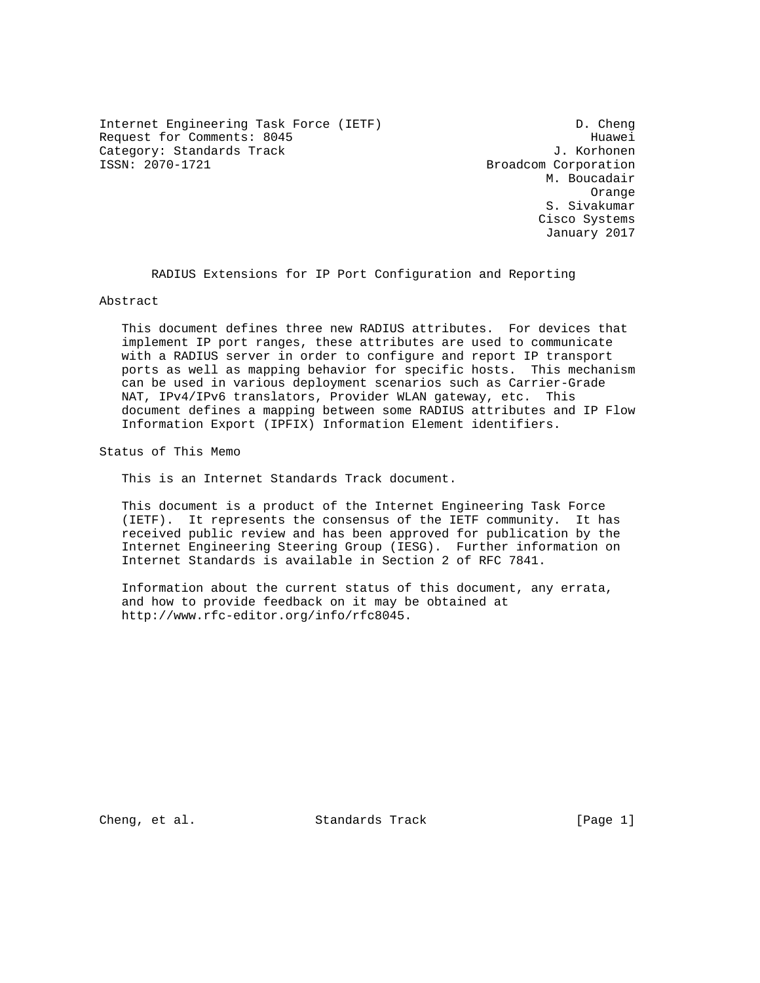Internet Engineering Task Force (IETF) D. Cheng Request for Comments: 8045 Huawei Category: Standards Track J. Korhonen<br>
ISSN: 2070-1721<br>
Broadcom Corporation

Broadcom Corporation M. Boucadair Orange S. Sivakumar Cisco Systems January 2017

RADIUS Extensions for IP Port Configuration and Reporting

Abstract

 This document defines three new RADIUS attributes. For devices that implement IP port ranges, these attributes are used to communicate with a RADIUS server in order to configure and report IP transport ports as well as mapping behavior for specific hosts. This mechanism can be used in various deployment scenarios such as Carrier-Grade NAT, IPv4/IPv6 translators, Provider WLAN gateway, etc. This document defines a mapping between some RADIUS attributes and IP Flow Information Export (IPFIX) Information Element identifiers.

Status of This Memo

This is an Internet Standards Track document.

 This document is a product of the Internet Engineering Task Force (IETF). It represents the consensus of the IETF community. It has received public review and has been approved for publication by the Internet Engineering Steering Group (IESG). Further information on Internet Standards is available in Section 2 of RFC 7841.

 Information about the current status of this document, any errata, and how to provide feedback on it may be obtained at http://www.rfc-editor.org/info/rfc8045.

Cheng, et al. Standards Track [Page 1]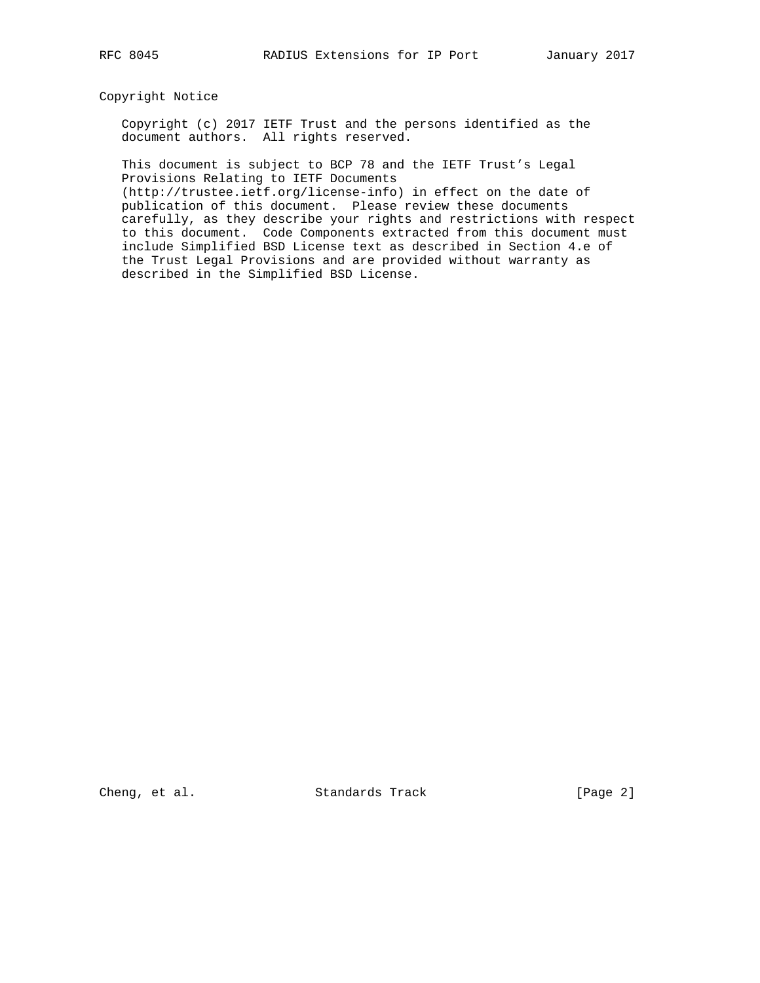## Copyright Notice

 Copyright (c) 2017 IETF Trust and the persons identified as the document authors. All rights reserved.

 This document is subject to BCP 78 and the IETF Trust's Legal Provisions Relating to IETF Documents

 (http://trustee.ietf.org/license-info) in effect on the date of publication of this document. Please review these documents carefully, as they describe your rights and restrictions with respect to this document. Code Components extracted from this document must include Simplified BSD License text as described in Section 4.e of the Trust Legal Provisions and are provided without warranty as described in the Simplified BSD License.

Cheng, et al. Standards Track [Page 2]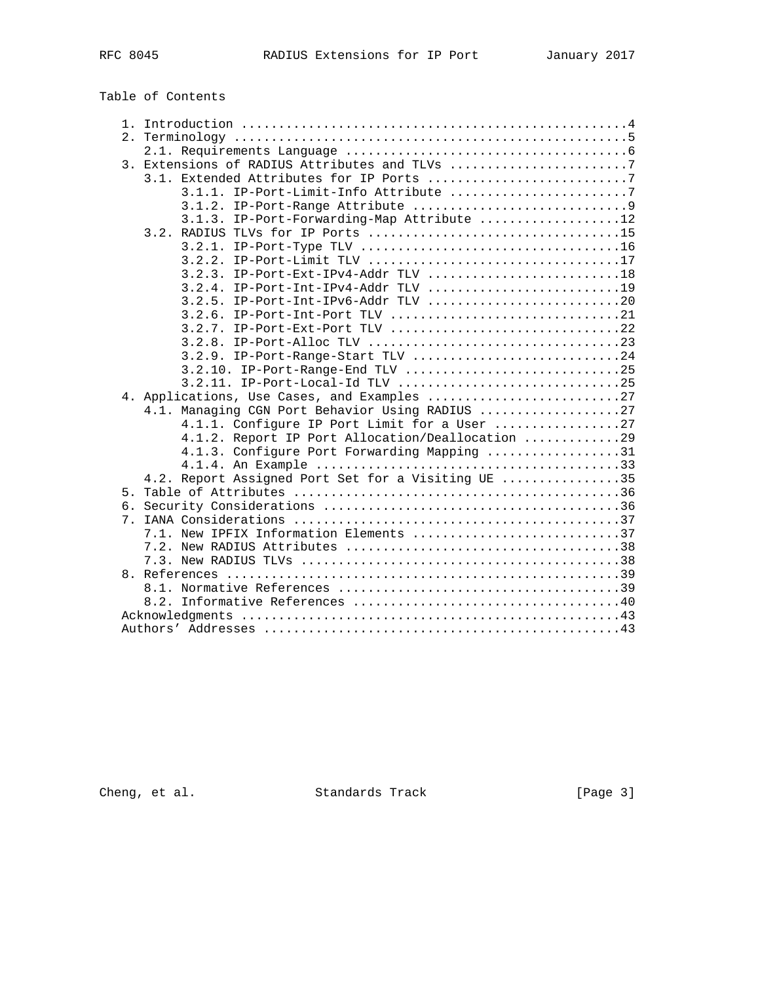Table of Contents

| $1$ . |                                                    |
|-------|----------------------------------------------------|
| 2.    |                                                    |
|       |                                                    |
|       | 3. Extensions of RADIUS Attributes and TLVs 7      |
|       |                                                    |
|       | 3.1.1. IP-Port-Limit-Info Attribute 7              |
|       |                                                    |
|       | 3.1.2.                                             |
|       | 3.1.3. IP-Port-Forwarding-Map Attribute 12         |
|       |                                                    |
|       |                                                    |
|       |                                                    |
|       | $3.2.3.$ IP-Port-Ext-IPv4-Addr TLV 18              |
|       |                                                    |
|       |                                                    |
|       |                                                    |
|       |                                                    |
|       |                                                    |
|       | 3.2.9. IP-Port-Range-Start TLV 24                  |
|       | 3.2.10. IP-Port-Range-End TLV 25                   |
|       |                                                    |
|       |                                                    |
|       | 4.1. Managing CGN Port Behavior Using RADIUS 27    |
|       | 4.1.1. Configure IP Port Limit for a User 27       |
|       | 4.1.2. Report IP Port Allocation/Deallocation 29   |
|       | 4.1.3. Configure Port Forwarding Mapping 31        |
|       |                                                    |
|       | 4.2. Report Assigned Port Set for a Visiting UE 35 |
| 5.    |                                                    |
| б.    |                                                    |
| 7.    |                                                    |
|       | 7.1. New IPFIX Information Elements 37             |
|       |                                                    |
|       |                                                    |
|       |                                                    |
|       |                                                    |
|       |                                                    |
|       |                                                    |
|       |                                                    |
|       |                                                    |

Cheng, et al. Standards Track [Page 3]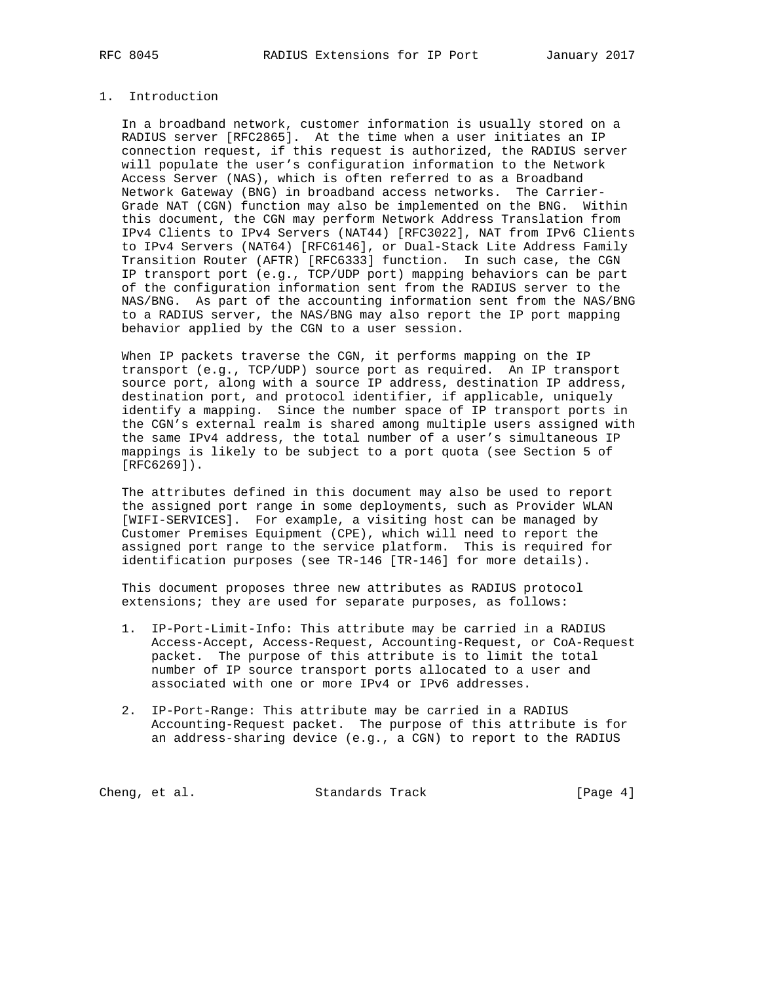## 1. Introduction

 In a broadband network, customer information is usually stored on a RADIUS server [RFC2865]. At the time when a user initiates an IP connection request, if this request is authorized, the RADIUS server will populate the user's configuration information to the Network Access Server (NAS), which is often referred to as a Broadband Network Gateway (BNG) in broadband access networks. The Carrier- Grade NAT (CGN) function may also be implemented on the BNG. Within this document, the CGN may perform Network Address Translation from IPv4 Clients to IPv4 Servers (NAT44) [RFC3022], NAT from IPv6 Clients to IPv4 Servers (NAT64) [RFC6146], or Dual-Stack Lite Address Family Transition Router (AFTR) [RFC6333] function. In such case, the CGN IP transport port (e.g., TCP/UDP port) mapping behaviors can be part of the configuration information sent from the RADIUS server to the NAS/BNG. As part of the accounting information sent from the NAS/BNG to a RADIUS server, the NAS/BNG may also report the IP port mapping behavior applied by the CGN to a user session.

 When IP packets traverse the CGN, it performs mapping on the IP transport (e.g., TCP/UDP) source port as required. An IP transport source port, along with a source IP address, destination IP address, destination port, and protocol identifier, if applicable, uniquely identify a mapping. Since the number space of IP transport ports in the CGN's external realm is shared among multiple users assigned with the same IPv4 address, the total number of a user's simultaneous IP mappings is likely to be subject to a port quota (see Section 5 of [RFC6269]).

 The attributes defined in this document may also be used to report the assigned port range in some deployments, such as Provider WLAN [WIFI-SERVICES]. For example, a visiting host can be managed by Customer Premises Equipment (CPE), which will need to report the assigned port range to the service platform. This is required for identification purposes (see TR-146 [TR-146] for more details).

 This document proposes three new attributes as RADIUS protocol extensions; they are used for separate purposes, as follows:

- 1. IP-Port-Limit-Info: This attribute may be carried in a RADIUS Access-Accept, Access-Request, Accounting-Request, or CoA-Request packet. The purpose of this attribute is to limit the total number of IP source transport ports allocated to a user and associated with one or more IPv4 or IPv6 addresses.
- 2. IP-Port-Range: This attribute may be carried in a RADIUS Accounting-Request packet. The purpose of this attribute is for an address-sharing device (e.g., a CGN) to report to the RADIUS

Cheng, et al. Standards Track [Page 4]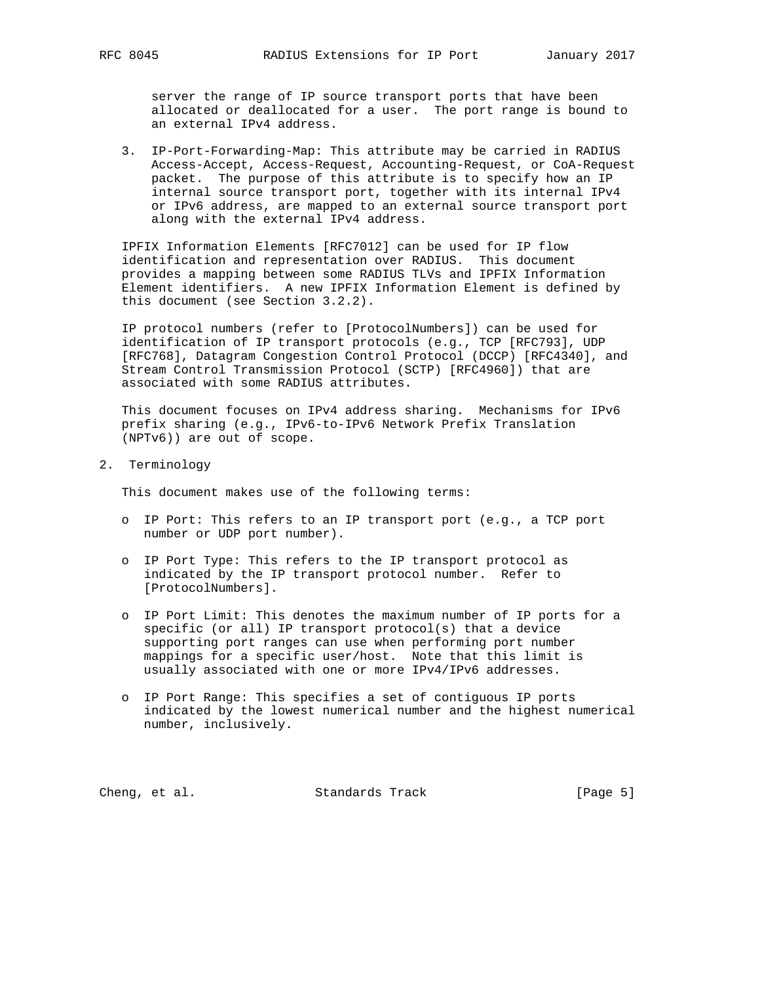server the range of IP source transport ports that have been allocated or deallocated for a user. The port range is bound to an external IPv4 address.

 3. IP-Port-Forwarding-Map: This attribute may be carried in RADIUS Access-Accept, Access-Request, Accounting-Request, or CoA-Request packet. The purpose of this attribute is to specify how an IP internal source transport port, together with its internal IPv4 or IPv6 address, are mapped to an external source transport port along with the external IPv4 address.

 IPFIX Information Elements [RFC7012] can be used for IP flow identification and representation over RADIUS. This document provides a mapping between some RADIUS TLVs and IPFIX Information Element identifiers. A new IPFIX Information Element is defined by this document (see Section 3.2.2).

 IP protocol numbers (refer to [ProtocolNumbers]) can be used for identification of IP transport protocols (e.g., TCP [RFC793], UDP [RFC768], Datagram Congestion Control Protocol (DCCP) [RFC4340], and Stream Control Transmission Protocol (SCTP) [RFC4960]) that are associated with some RADIUS attributes.

 This document focuses on IPv4 address sharing. Mechanisms for IPv6 prefix sharing (e.g., IPv6-to-IPv6 Network Prefix Translation (NPTv6)) are out of scope.

2. Terminology

This document makes use of the following terms:

- o IP Port: This refers to an IP transport port (e.g., a TCP port number or UDP port number).
- o IP Port Type: This refers to the IP transport protocol as indicated by the IP transport protocol number. Refer to [ProtocolNumbers].
- o IP Port Limit: This denotes the maximum number of IP ports for a specific (or all) IP transport protocol(s) that a device supporting port ranges can use when performing port number mappings for a specific user/host. Note that this limit is usually associated with one or more IPv4/IPv6 addresses.
- o IP Port Range: This specifies a set of contiguous IP ports indicated by the lowest numerical number and the highest numerical number, inclusively.

Cheng, et al. Standards Track [Page 5]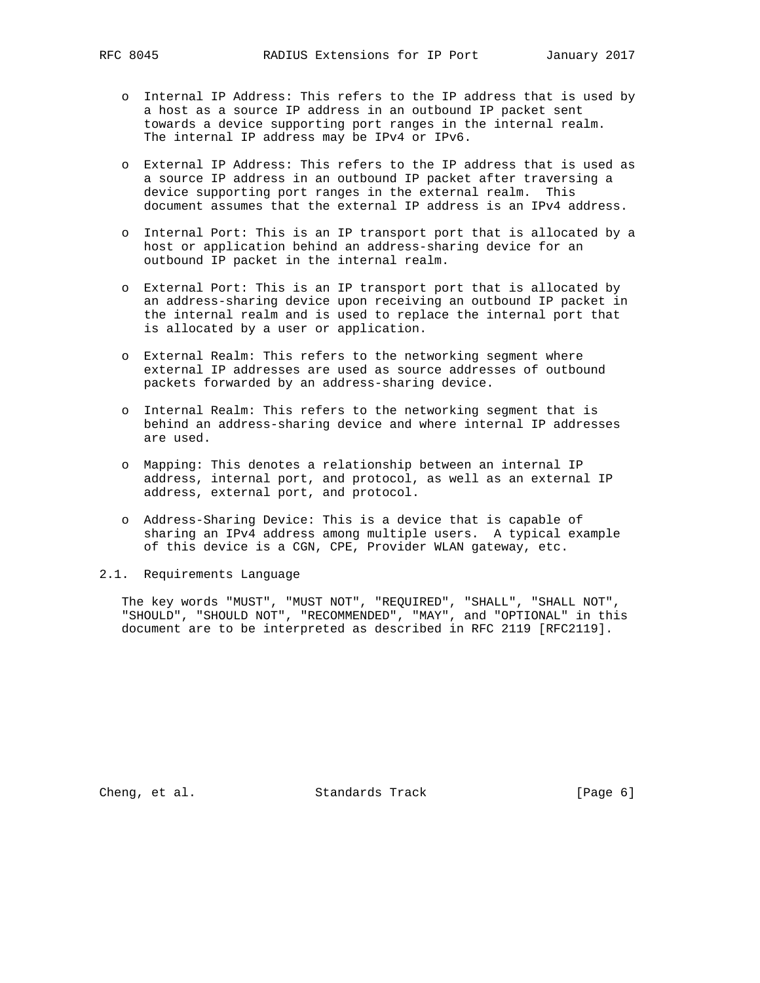- o Internal IP Address: This refers to the IP address that is used by a host as a source IP address in an outbound IP packet sent towards a device supporting port ranges in the internal realm. The internal IP address may be IPv4 or IPv6.
- o External IP Address: This refers to the IP address that is used as a source IP address in an outbound IP packet after traversing a device supporting port ranges in the external realm. This document assumes that the external IP address is an IPv4 address.
- o Internal Port: This is an IP transport port that is allocated by a host or application behind an address-sharing device for an outbound IP packet in the internal realm.
- o External Port: This is an IP transport port that is allocated by an address-sharing device upon receiving an outbound IP packet in the internal realm and is used to replace the internal port that is allocated by a user or application.
- o External Realm: This refers to the networking segment where external IP addresses are used as source addresses of outbound packets forwarded by an address-sharing device.
- o Internal Realm: This refers to the networking segment that is behind an address-sharing device and where internal IP addresses are used.
- o Mapping: This denotes a relationship between an internal IP address, internal port, and protocol, as well as an external IP address, external port, and protocol.
- o Address-Sharing Device: This is a device that is capable of sharing an IPv4 address among multiple users. A typical example of this device is a CGN, CPE, Provider WLAN gateway, etc.
- 2.1. Requirements Language

 The key words "MUST", "MUST NOT", "REQUIRED", "SHALL", "SHALL NOT", "SHOULD", "SHOULD NOT", "RECOMMENDED", "MAY", and "OPTIONAL" in this document are to be interpreted as described in RFC 2119 [RFC2119].

Cheng, et al. Standards Track [Page 6]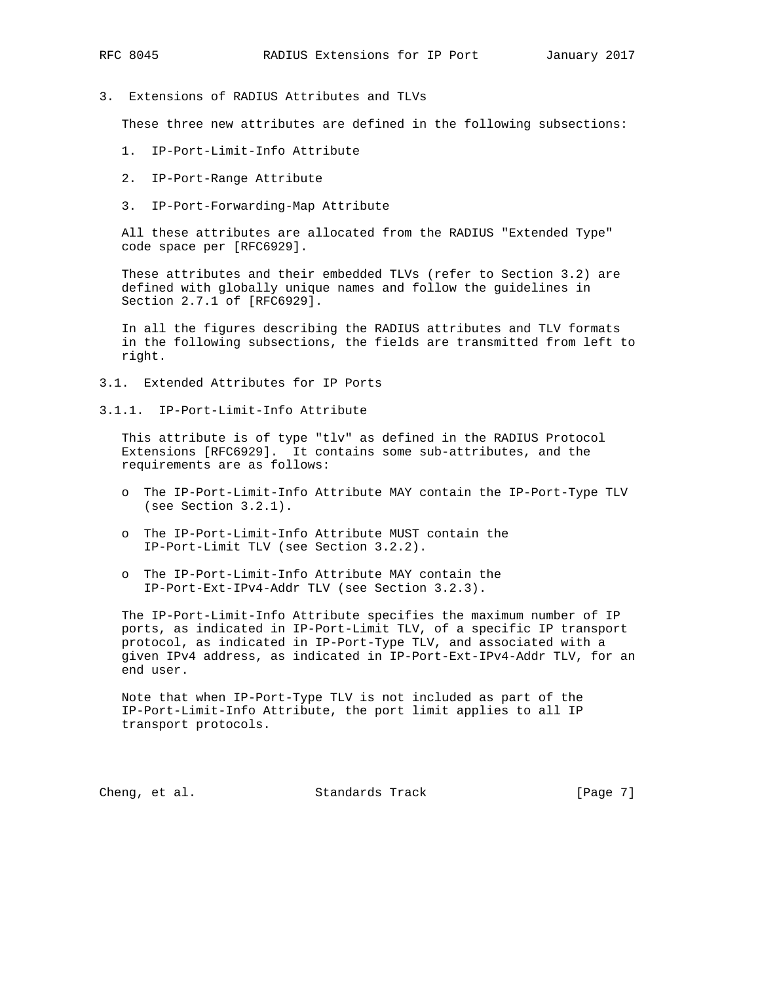- 
- 3. Extensions of RADIUS Attributes and TLVs

These three new attributes are defined in the following subsections:

- 1. IP-Port-Limit-Info Attribute
- 2. IP-Port-Range Attribute
- 3. IP-Port-Forwarding-Map Attribute

 All these attributes are allocated from the RADIUS "Extended Type" code space per [RFC6929].

 These attributes and their embedded TLVs (refer to Section 3.2) are defined with globally unique names and follow the guidelines in Section 2.7.1 of [RFC6929].

 In all the figures describing the RADIUS attributes and TLV formats in the following subsections, the fields are transmitted from left to right.

- 3.1. Extended Attributes for IP Ports
- 3.1.1. IP-Port-Limit-Info Attribute

 This attribute is of type "tlv" as defined in the RADIUS Protocol Extensions [RFC6929]. It contains some sub-attributes, and the requirements are as follows:

- o The IP-Port-Limit-Info Attribute MAY contain the IP-Port-Type TLV (see Section 3.2.1).
- o The IP-Port-Limit-Info Attribute MUST contain the IP-Port-Limit TLV (see Section 3.2.2).
- o The IP-Port-Limit-Info Attribute MAY contain the IP-Port-Ext-IPv4-Addr TLV (see Section 3.2.3).

 The IP-Port-Limit-Info Attribute specifies the maximum number of IP ports, as indicated in IP-Port-Limit TLV, of a specific IP transport protocol, as indicated in IP-Port-Type TLV, and associated with a given IPv4 address, as indicated in IP-Port-Ext-IPv4-Addr TLV, for an end user.

 Note that when IP-Port-Type TLV is not included as part of the IP-Port-Limit-Info Attribute, the port limit applies to all IP transport protocols.

Cheng, et al. Standards Track [Page 7]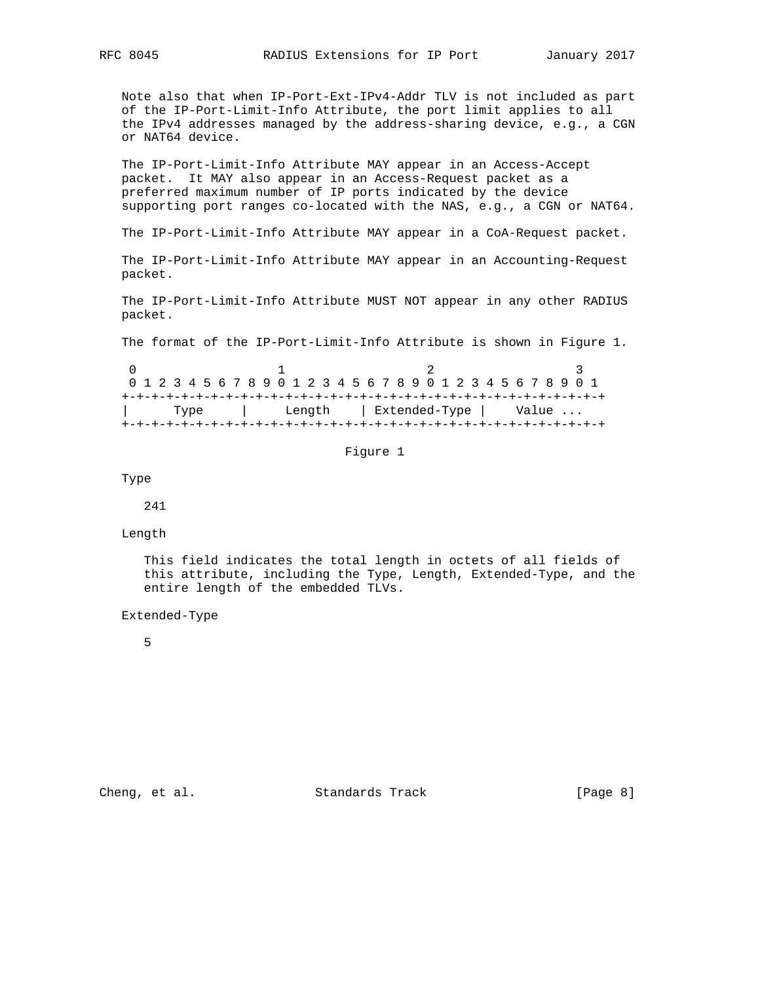Note also that when IP-Port-Ext-IPv4-Addr TLV is not included as part of the IP-Port-Limit-Info Attribute, the port limit applies to all the IPv4 addresses managed by the address-sharing device, e.g., a CGN or NAT64 device.

 The IP-Port-Limit-Info Attribute MAY appear in an Access-Accept packet. It MAY also appear in an Access-Request packet as a preferred maximum number of IP ports indicated by the device supporting port ranges co-located with the NAS, e.g., a CGN or NAT64.

The IP-Port-Limit-Info Attribute MAY appear in a CoA-Request packet.

 The IP-Port-Limit-Info Attribute MAY appear in an Accounting-Request packet.

 The IP-Port-Limit-Info Attribute MUST NOT appear in any other RADIUS packet.

The format of the IP-Port-Limit-Info Attribute is shown in Figure 1.

|  |  |      |  |  |  |  |  |  |  |  |                        |  |  |  | 0 1 2 3 4 5 6 7 8 9 0 1 2 3 4 5 6 7 8 9 0 1 2 3 4 5 6 7 8 9 0 1 |  |
|--|--|------|--|--|--|--|--|--|--|--|------------------------|--|--|--|-----------------------------------------------------------------|--|
|  |  |      |  |  |  |  |  |  |  |  |                        |  |  |  |                                                                 |  |
|  |  | Type |  |  |  |  |  |  |  |  | Length   Extended-Type |  |  |  | Value                                                           |  |
|  |  |      |  |  |  |  |  |  |  |  |                        |  |  |  |                                                                 |  |

#### Figure 1

Type

241

#### Length

 This field indicates the total length in octets of all fields of this attribute, including the Type, Length, Extended-Type, and the entire length of the embedded TLVs.

Extended-Type

5

Cheng, et al. Standards Track [Page 8]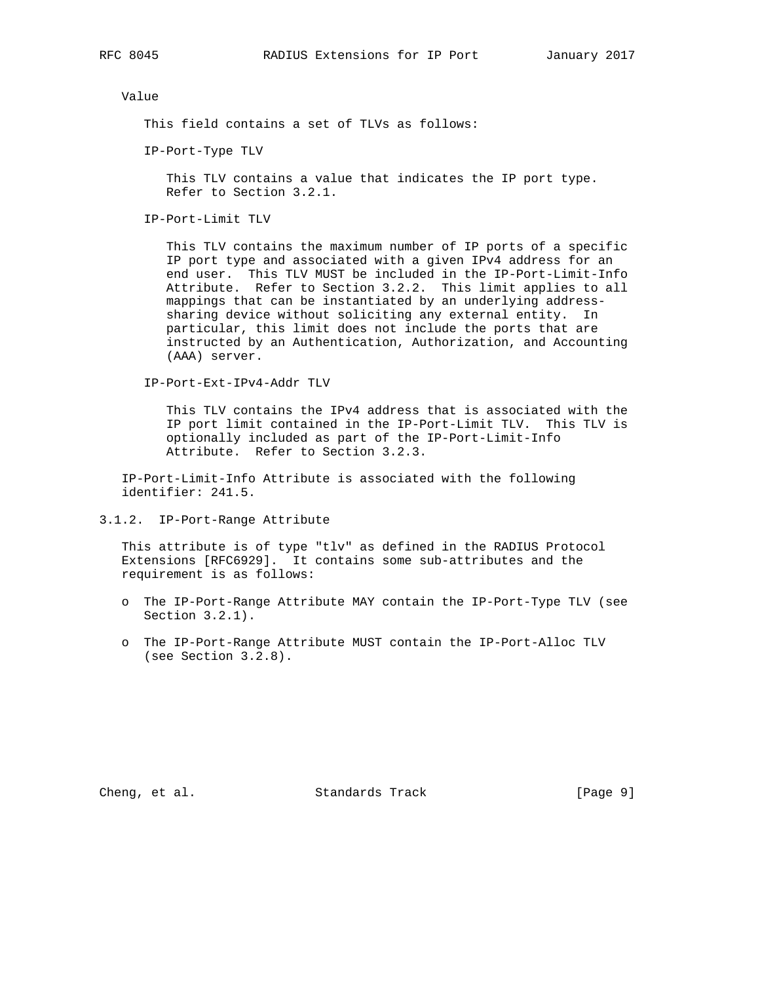Value

This field contains a set of TLVs as follows:

IP-Port-Type TLV

 This TLV contains a value that indicates the IP port type. Refer to Section 3.2.1.

IP-Port-Limit TLV

 This TLV contains the maximum number of IP ports of a specific IP port type and associated with a given IPv4 address for an end user. This TLV MUST be included in the IP-Port-Limit-Info Attribute. Refer to Section 3.2.2. This limit applies to all mappings that can be instantiated by an underlying address sharing device without soliciting any external entity. In particular, this limit does not include the ports that are instructed by an Authentication, Authorization, and Accounting (AAA) server.

IP-Port-Ext-IPv4-Addr TLV

 This TLV contains the IPv4 address that is associated with the IP port limit contained in the IP-Port-Limit TLV. This TLV is optionally included as part of the IP-Port-Limit-Info Attribute. Refer to Section 3.2.3.

 IP-Port-Limit-Info Attribute is associated with the following identifier: 241.5.

3.1.2. IP-Port-Range Attribute

 This attribute is of type "tlv" as defined in the RADIUS Protocol Extensions [RFC6929]. It contains some sub-attributes and the requirement is as follows:

- o The IP-Port-Range Attribute MAY contain the IP-Port-Type TLV (see Section 3.2.1).
- o The IP-Port-Range Attribute MUST contain the IP-Port-Alloc TLV (see Section 3.2.8).

Cheng, et al. Standards Track [Page 9]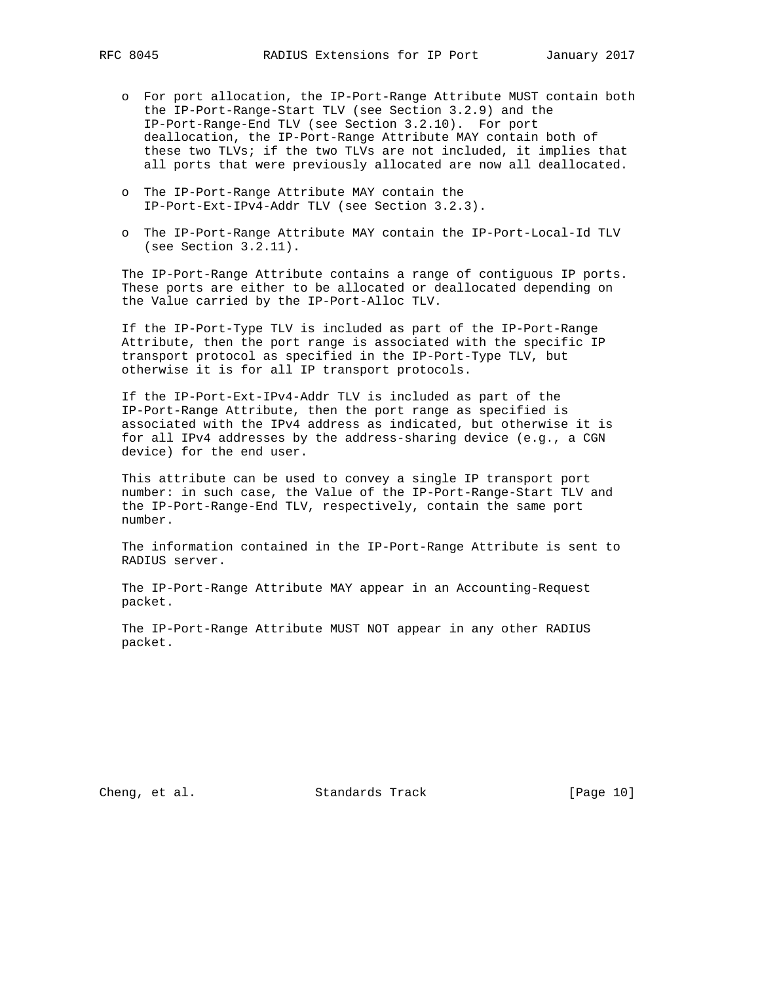- o For port allocation, the IP-Port-Range Attribute MUST contain both the IP-Port-Range-Start TLV (see Section 3.2.9) and the IP-Port-Range-End TLV (see Section 3.2.10). For port deallocation, the IP-Port-Range Attribute MAY contain both of these two TLVs; if the two TLVs are not included, it implies that all ports that were previously allocated are now all deallocated.
- o The IP-Port-Range Attribute MAY contain the IP-Port-Ext-IPv4-Addr TLV (see Section 3.2.3).
- o The IP-Port-Range Attribute MAY contain the IP-Port-Local-Id TLV (see Section 3.2.11).

 The IP-Port-Range Attribute contains a range of contiguous IP ports. These ports are either to be allocated or deallocated depending on the Value carried by the IP-Port-Alloc TLV.

 If the IP-Port-Type TLV is included as part of the IP-Port-Range Attribute, then the port range is associated with the specific IP transport protocol as specified in the IP-Port-Type TLV, but otherwise it is for all IP transport protocols.

 If the IP-Port-Ext-IPv4-Addr TLV is included as part of the IP-Port-Range Attribute, then the port range as specified is associated with the IPv4 address as indicated, but otherwise it is for all IPv4 addresses by the address-sharing device (e.g., a CGN device) for the end user.

 This attribute can be used to convey a single IP transport port number: in such case, the Value of the IP-Port-Range-Start TLV and the IP-Port-Range-End TLV, respectively, contain the same port number.

 The information contained in the IP-Port-Range Attribute is sent to RADIUS server.

 The IP-Port-Range Attribute MAY appear in an Accounting-Request packet.

 The IP-Port-Range Attribute MUST NOT appear in any other RADIUS packet.

Cheng, et al. Standards Track [Page 10]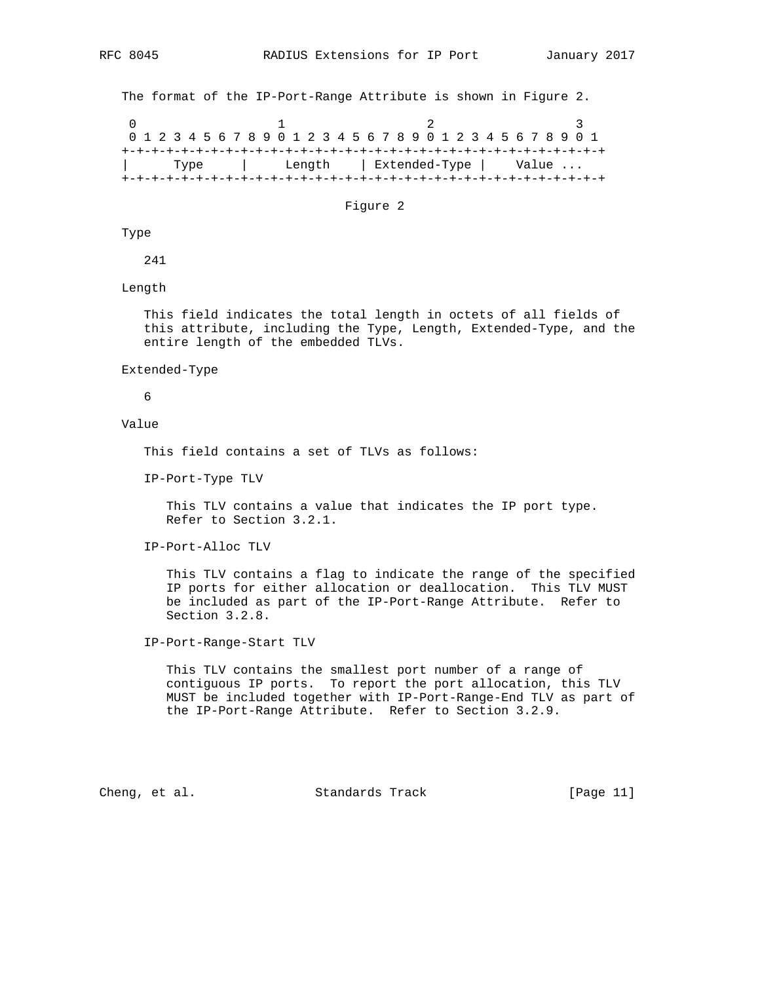The format of the IP-Port-Range Attribute is shown in Figure 2.

0  $1$  2 3 0 1 2 3 4 5 6 7 8 9 0 1 2 3 4 5 6 7 8 9 0 1 2 3 4 5 6 7 8 9 0 1 +-+-+-+-+-+-+-+-+-+-+-+-+-+-+-+-+-+-+-+-+-+-+-+-+-+-+-+-+-+-+-+-+ | Type | Length | Extended-Type | Value ... +-+-+-+-+-+-+-+-+-+-+-+-+-+-+-+-+-+-+-+-+-+-+-+-+-+-+-+-+-+-+-+-+

Figure 2

Type

241

Length

 This field indicates the total length in octets of all fields of this attribute, including the Type, Length, Extended-Type, and the entire length of the embedded TLVs.

Extended-Type

6

Value

This field contains a set of TLVs as follows:

IP-Port-Type TLV

 This TLV contains a value that indicates the IP port type. Refer to Section 3.2.1.

IP-Port-Alloc TLV

 This TLV contains a flag to indicate the range of the specified IP ports for either allocation or deallocation. This TLV MUST be included as part of the IP-Port-Range Attribute. Refer to Section 3.2.8.

IP-Port-Range-Start TLV

 This TLV contains the smallest port number of a range of contiguous IP ports. To report the port allocation, this TLV MUST be included together with IP-Port-Range-End TLV as part of the IP-Port-Range Attribute. Refer to Section 3.2.9.

Cheng, et al. Standards Track [Page 11]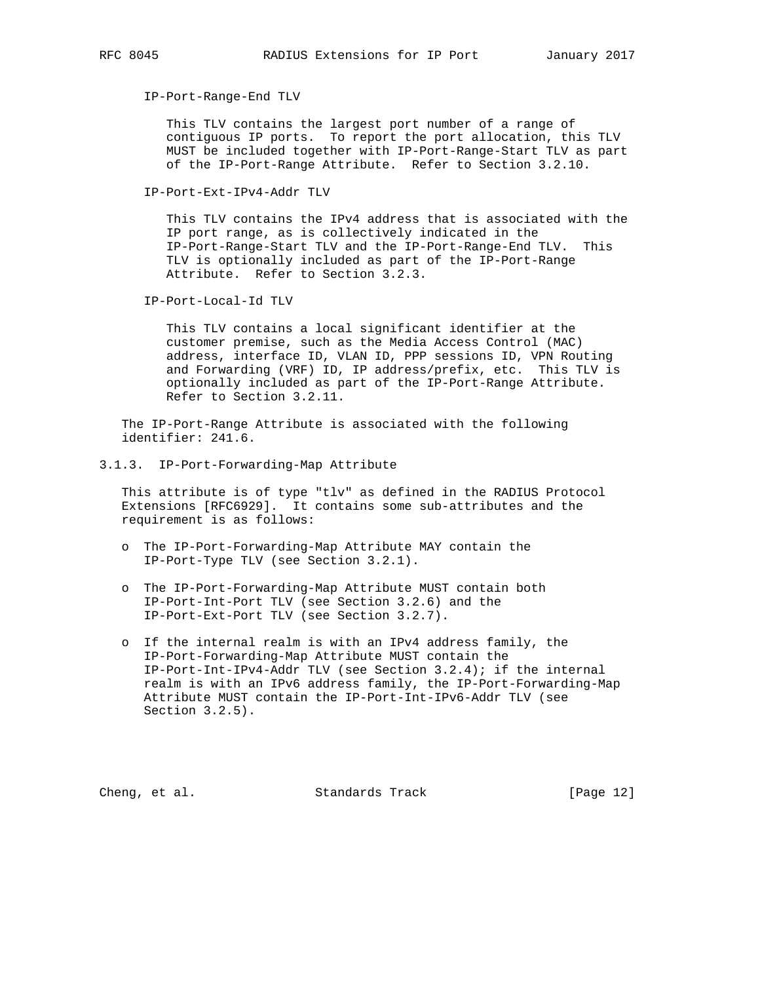IP-Port-Range-End TLV

 This TLV contains the largest port number of a range of contiguous IP ports. To report the port allocation, this TLV MUST be included together with IP-Port-Range-Start TLV as part of the IP-Port-Range Attribute. Refer to Section 3.2.10.

IP-Port-Ext-IPv4-Addr TLV

 This TLV contains the IPv4 address that is associated with the IP port range, as is collectively indicated in the IP-Port-Range-Start TLV and the IP-Port-Range-End TLV. This TLV is optionally included as part of the IP-Port-Range Attribute. Refer to Section 3.2.3.

IP-Port-Local-Id TLV

 This TLV contains a local significant identifier at the customer premise, such as the Media Access Control (MAC) address, interface ID, VLAN ID, PPP sessions ID, VPN Routing and Forwarding (VRF) ID, IP address/prefix, etc. This TLV is optionally included as part of the IP-Port-Range Attribute. Refer to Section 3.2.11.

 The IP-Port-Range Attribute is associated with the following identifier: 241.6.

3.1.3. IP-Port-Forwarding-Map Attribute

 This attribute is of type "tlv" as defined in the RADIUS Protocol Extensions [RFC6929]. It contains some sub-attributes and the requirement is as follows:

- o The IP-Port-Forwarding-Map Attribute MAY contain the IP-Port-Type TLV (see Section 3.2.1).
- o The IP-Port-Forwarding-Map Attribute MUST contain both IP-Port-Int-Port TLV (see Section 3.2.6) and the IP-Port-Ext-Port TLV (see Section 3.2.7).
- o If the internal realm is with an IPv4 address family, the IP-Port-Forwarding-Map Attribute MUST contain the IP-Port-Int-IPv4-Addr TLV (see Section 3.2.4); if the internal realm is with an IPv6 address family, the IP-Port-Forwarding-Map Attribute MUST contain the IP-Port-Int-IPv6-Addr TLV (see Section 3.2.5).

Cheng, et al. Standards Track [Page 12]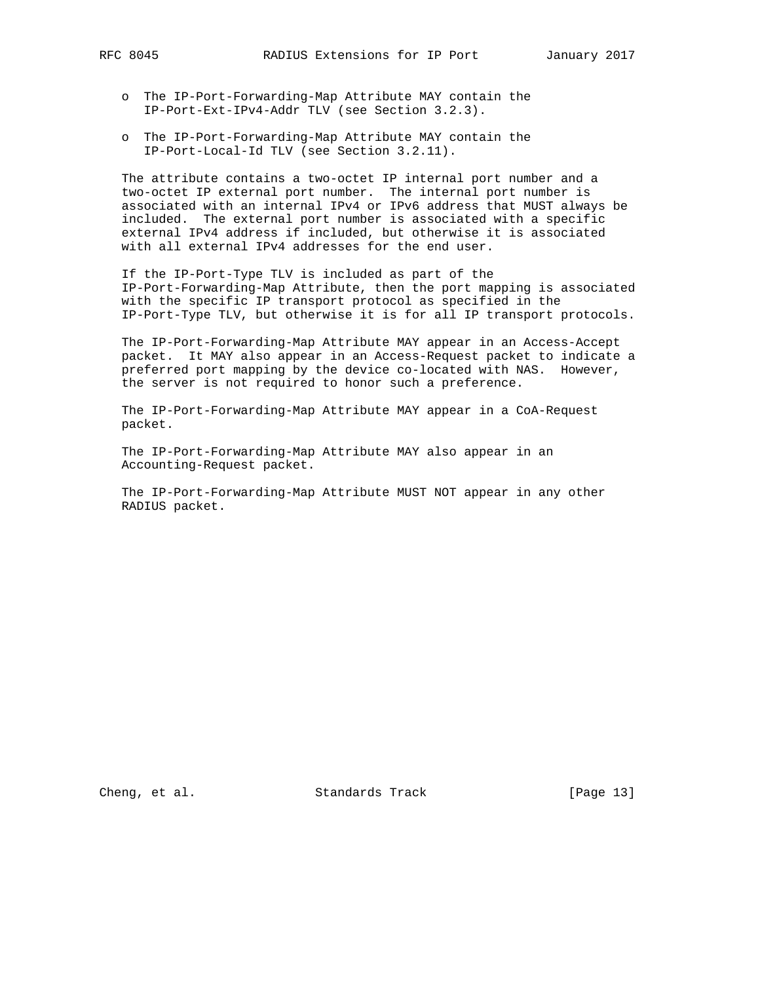- o The IP-Port-Forwarding-Map Attribute MAY contain the IP-Port-Ext-IPv4-Addr TLV (see Section 3.2.3).
- o The IP-Port-Forwarding-Map Attribute MAY contain the IP-Port-Local-Id TLV (see Section 3.2.11).

 The attribute contains a two-octet IP internal port number and a two-octet IP external port number. The internal port number is associated with an internal IPv4 or IPv6 address that MUST always be included. The external port number is associated with a specific external IPv4 address if included, but otherwise it is associated with all external IPv4 addresses for the end user.

 If the IP-Port-Type TLV is included as part of the IP-Port-Forwarding-Map Attribute, then the port mapping is associated with the specific IP transport protocol as specified in the IP-Port-Type TLV, but otherwise it is for all IP transport protocols.

 The IP-Port-Forwarding-Map Attribute MAY appear in an Access-Accept packet. It MAY also appear in an Access-Request packet to indicate a preferred port mapping by the device co-located with NAS. However, the server is not required to honor such a preference.

 The IP-Port-Forwarding-Map Attribute MAY appear in a CoA-Request packet.

 The IP-Port-Forwarding-Map Attribute MAY also appear in an Accounting-Request packet.

 The IP-Port-Forwarding-Map Attribute MUST NOT appear in any other RADIUS packet.

Cheng, et al. Standards Track [Page 13]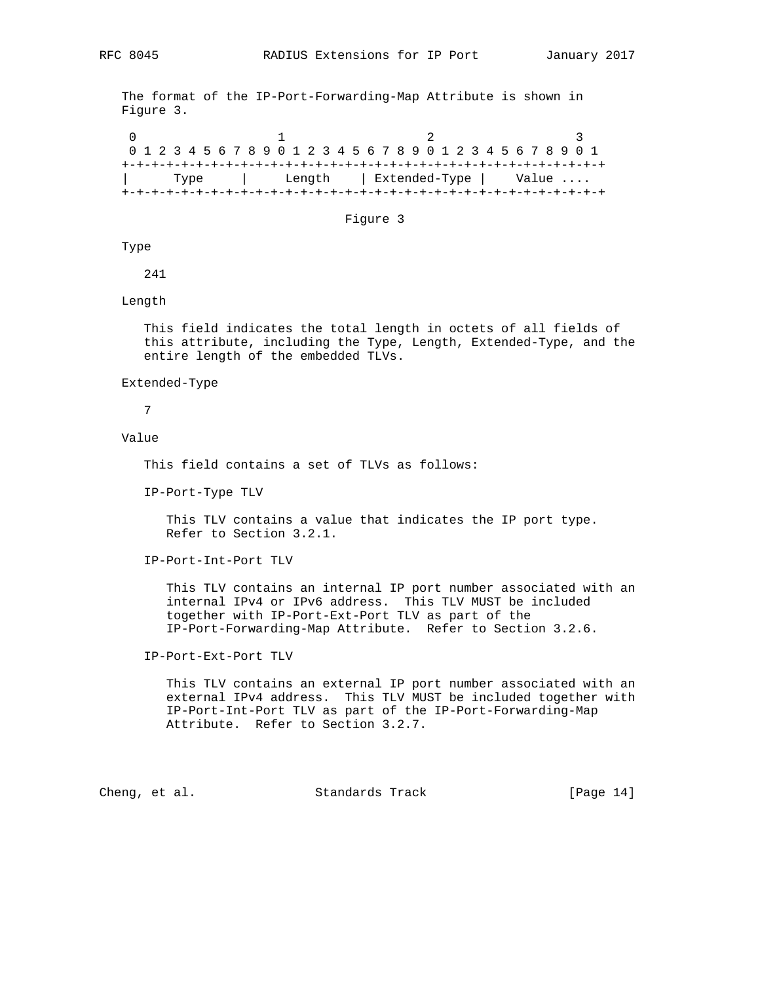The format of the IP-Port-Forwarding-Map Attribute is shown in Figure 3.

0  $1$  2 3 0 1 2 3 4 5 6 7 8 9 0 1 2 3 4 5 6 7 8 9 0 1 2 3 4 5 6 7 8 9 0 1 +-+-+-+-+-+-+-+-+-+-+-+-+-+-+-+-+-+-+-+-+-+-+-+-+-+-+-+-+-+-+-+-+ | Type | Length | Extended-Type | Value .... +-+-+-+-+-+-+-+-+-+-+-+-+-+-+-+-+-+-+-+-+-+-+-+-+-+-+-+-+-+-+-+-+

#### Figure 3

## Type

241

## Length

 This field indicates the total length in octets of all fields of this attribute, including the Type, Length, Extended-Type, and the entire length of the embedded TLVs.

#### Extended-Type

7

#### Value

This field contains a set of TLVs as follows:

IP-Port-Type TLV

 This TLV contains a value that indicates the IP port type. Refer to Section 3.2.1.

IP-Port-Int-Port TLV

 This TLV contains an internal IP port number associated with an internal IPv4 or IPv6 address. This TLV MUST be included together with IP-Port-Ext-Port TLV as part of the IP-Port-Forwarding-Map Attribute. Refer to Section 3.2.6.

IP-Port-Ext-Port TLV

 This TLV contains an external IP port number associated with an external IPv4 address. This TLV MUST be included together with IP-Port-Int-Port TLV as part of the IP-Port-Forwarding-Map Attribute. Refer to Section 3.2.7.

Cheng, et al. Standards Track [Page 14]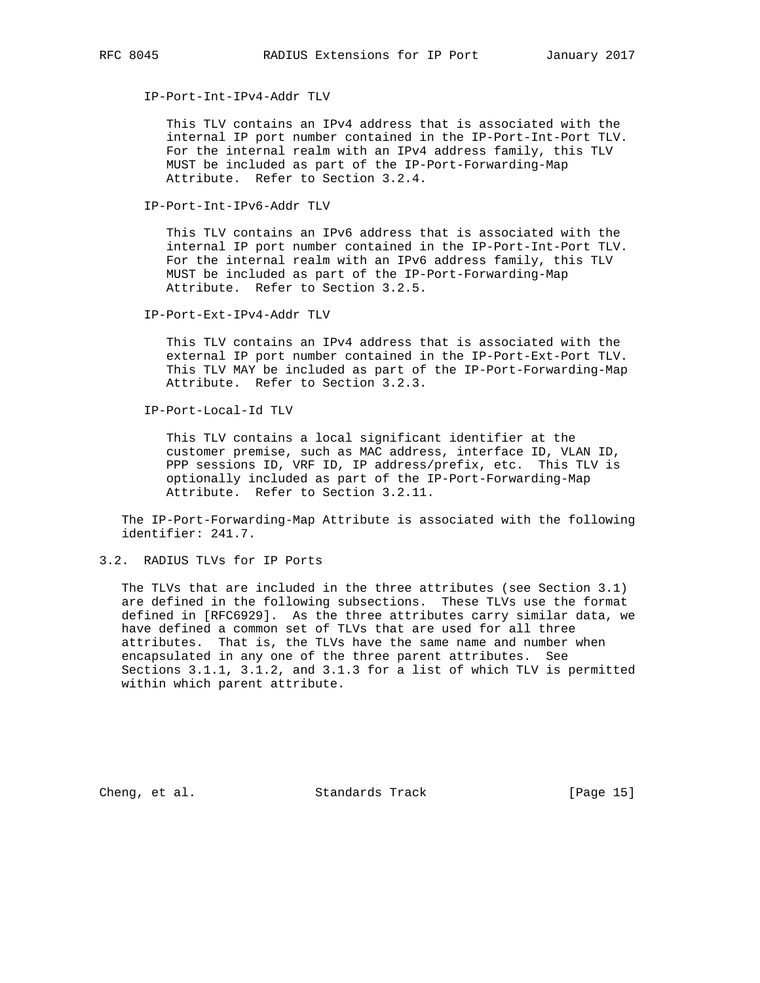IP-Port-Int-IPv4-Addr TLV

 This TLV contains an IPv4 address that is associated with the internal IP port number contained in the IP-Port-Int-Port TLV. For the internal realm with an IPv4 address family, this TLV MUST be included as part of the IP-Port-Forwarding-Map Attribute. Refer to Section 3.2.4.

IP-Port-Int-IPv6-Addr TLV

 This TLV contains an IPv6 address that is associated with the internal IP port number contained in the IP-Port-Int-Port TLV. For the internal realm with an IPv6 address family, this TLV MUST be included as part of the IP-Port-Forwarding-Map Attribute. Refer to Section 3.2.5.

IP-Port-Ext-IPv4-Addr TLV

 This TLV contains an IPv4 address that is associated with the external IP port number contained in the IP-Port-Ext-Port TLV. This TLV MAY be included as part of the IP-Port-Forwarding-Map Attribute. Refer to Section 3.2.3.

IP-Port-Local-Id TLV

 This TLV contains a local significant identifier at the customer premise, such as MAC address, interface ID, VLAN ID, PPP sessions ID, VRF ID, IP address/prefix, etc. This TLV is optionally included as part of the IP-Port-Forwarding-Map Attribute. Refer to Section 3.2.11.

 The IP-Port-Forwarding-Map Attribute is associated with the following identifier: 241.7.

3.2. RADIUS TLVs for IP Ports

 The TLVs that are included in the three attributes (see Section 3.1) are defined in the following subsections. These TLVs use the format defined in [RFC6929]. As the three attributes carry similar data, we have defined a common set of TLVs that are used for all three attributes. That is, the TLVs have the same name and number when encapsulated in any one of the three parent attributes. See Sections 3.1.1, 3.1.2, and 3.1.3 for a list of which TLV is permitted within which parent attribute.

Cheng, et al. Standards Track [Page 15]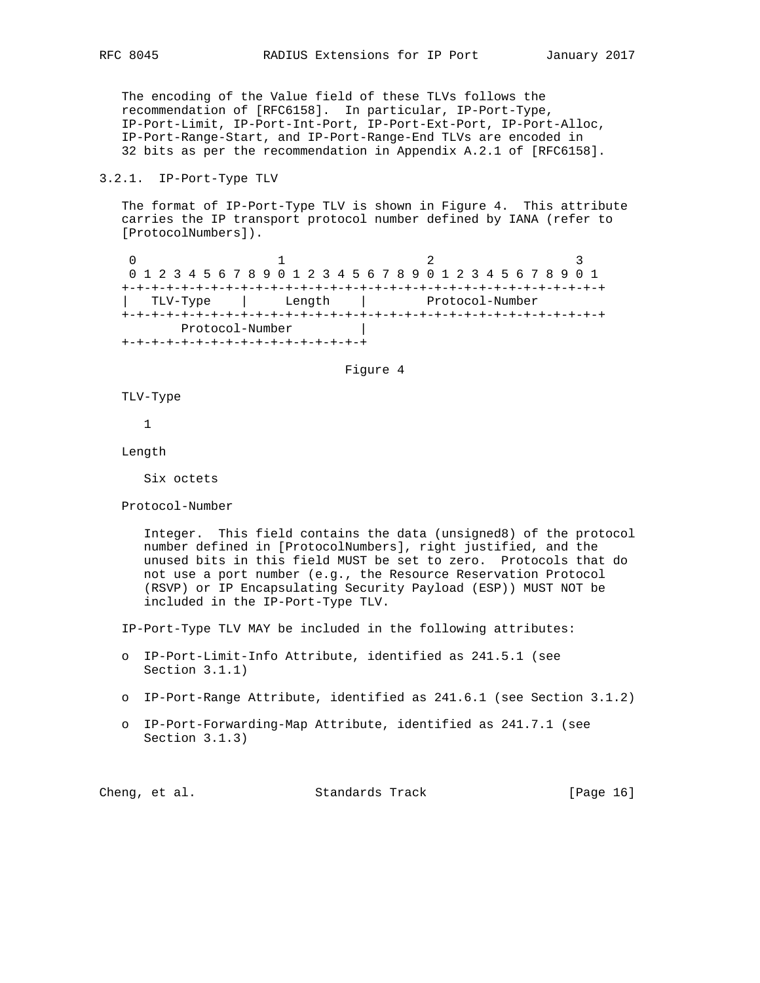The encoding of the Value field of these TLVs follows the recommendation of [RFC6158]. In particular, IP-Port-Type, IP-Port-Limit, IP-Port-Int-Port, IP-Port-Ext-Port, IP-Port-Alloc, IP-Port-Range-Start, and IP-Port-Range-End TLVs are encoded in 32 bits as per the recommendation in Appendix A.2.1 of [RFC6158].

#### 3.2.1. IP-Port-Type TLV

 The format of IP-Port-Type TLV is shown in Figure 4. This attribute carries the IP transport protocol number defined by IANA (refer to [ProtocolNumbers]).

0  $1$  2 3 0 1 2 3 4 5 6 7 8 9 0 1 2 3 4 5 6 7 8 9 0 1 2 3 4 5 6 7 8 9 0 1 +-+-+-+-+-+-+-+-+-+-+-+-+-+-+-+-+-+-+-+-+-+-+-+-+-+-+-+-+-+-+-+-+ | TLV-Type | Length | Protocol-Number +-+-+-+-+-+-+-+-+-+-+-+-+-+-+-+-+-+-+-+-+-+-+-+-+-+-+-+-+-+-+-+-+ Protocol-Number | +-+-+-+-+-+-+-+-+-+-+-+-+-+-+-+-+

Figure 4

TLV-Type

1

Length

Six octets

Protocol-Number

 Integer. This field contains the data (unsigned8) of the protocol number defined in [ProtocolNumbers], right justified, and the unused bits in this field MUST be set to zero. Protocols that do not use a port number (e.g., the Resource Reservation Protocol (RSVP) or IP Encapsulating Security Payload (ESP)) MUST NOT be included in the IP-Port-Type TLV.

IP-Port-Type TLV MAY be included in the following attributes:

- o IP-Port-Limit-Info Attribute, identified as 241.5.1 (see Section 3.1.1)
- o IP-Port-Range Attribute, identified as 241.6.1 (see Section 3.1.2)
- o IP-Port-Forwarding-Map Attribute, identified as 241.7.1 (see Section 3.1.3)

| Cheng, et al.<br>Standards Track | [Page 16] |
|----------------------------------|-----------|
|----------------------------------|-----------|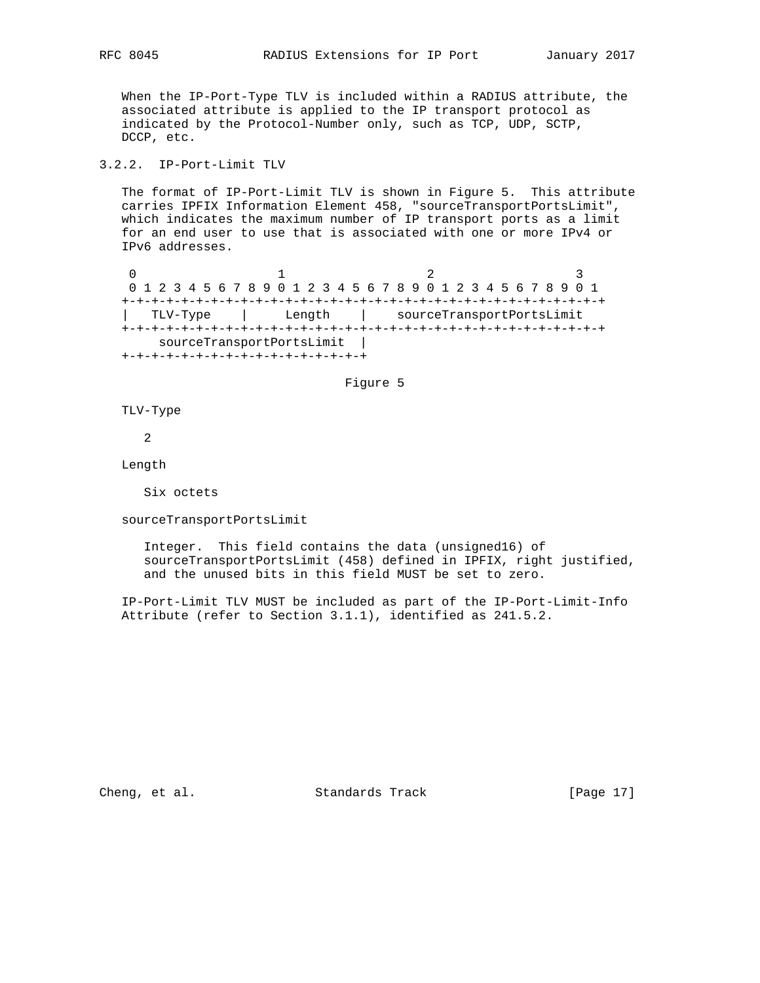When the IP-Port-Type TLV is included within a RADIUS attribute, the associated attribute is applied to the IP transport protocol as indicated by the Protocol-Number only, such as TCP, UDP, SCTP, DCCP, etc.

## 3.2.2. IP-Port-Limit TLV

 The format of IP-Port-Limit TLV is shown in Figure 5. This attribute carries IPFIX Information Element 458, "sourceTransportPortsLimit", which indicates the maximum number of IP transport ports as a limit for an end user to use that is associated with one or more IPv4 or IPv6 addresses.

0  $1$  2 3 0 1 2 3 4 5 6 7 8 9 0 1 2 3 4 5 6 7 8 9 0 1 2 3 4 5 6 7 8 9 0 1 +-+-+-+-+-+-+-+-+-+-+-+-+-+-+-+-+-+-+-+-+-+-+-+-+-+-+-+-+-+-+-+-+ | TLV-Type | Length | sourceTransportPortsLimit +-+-+-+-+-+-+-+-+-+-+-+-+-+-+-+-+-+-+-+-+-+-+-+-+-+-+-+-+-+-+-+-+ sourceTransportPortsLimit | +-+-+-+-+-+-+-+-+-+-+-+-+-+-+-+-+

#### Figure 5

TLV-Type

2

Length

Six octets

sourceTransportPortsLimit

 Integer. This field contains the data (unsigned16) of sourceTransportPortsLimit (458) defined in IPFIX, right justified, and the unused bits in this field MUST be set to zero.

 IP-Port-Limit TLV MUST be included as part of the IP-Port-Limit-Info Attribute (refer to Section 3.1.1), identified as 241.5.2.

Cheng, et al. Standards Track [Page 17]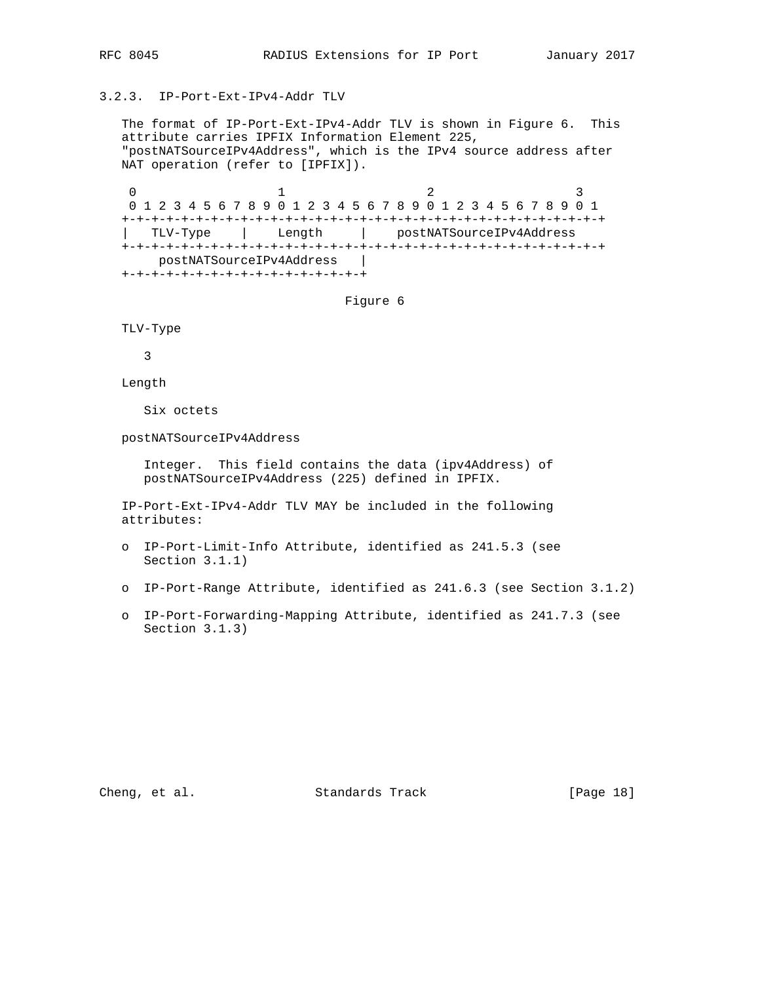## 3.2.3. IP-Port-Ext-IPv4-Addr TLV

 The format of IP-Port-Ext-IPv4-Addr TLV is shown in Figure 6. This attribute carries IPFIX Information Element 225, "postNATSourceIPv4Address", which is the IPv4 source address after NAT operation (refer to [IPFIX]).

0  $1$  2 3 0 1 2 3 4 5 6 7 8 9 0 1 2 3 4 5 6 7 8 9 0 1 2 3 4 5 6 7 8 9 0 1 +-+-+-+-+-+-+-+-+-+-+-+-+-+-+-+-+-+-+-+-+-+-+-+-+-+-+-+-+-+-+-+-+ | TLV-Type | Length | postNATSourceIPv4Address +-+-+-+-+-+-+-+-+-+-+-+-+-+-+-+-+-+-+-+-+-+-+-+-+-+-+-+-+-+-+-+-+ postNATSourceIPv4Address | +-+-+-+-+-+-+-+-+-+-+-+-+-+-+-+-+

Figure 6

TLV-Type

3

Length

Six octets

postNATSourceIPv4Address

 Integer. This field contains the data (ipv4Address) of postNATSourceIPv4Address (225) defined in IPFIX.

 IP-Port-Ext-IPv4-Addr TLV MAY be included in the following attributes:

- o IP-Port-Limit-Info Attribute, identified as 241.5.3 (see Section 3.1.1)
- o IP-Port-Range Attribute, identified as 241.6.3 (see Section 3.1.2)
- o IP-Port-Forwarding-Mapping Attribute, identified as 241.7.3 (see Section 3.1.3)

Cheng, et al. Standards Track [Page 18]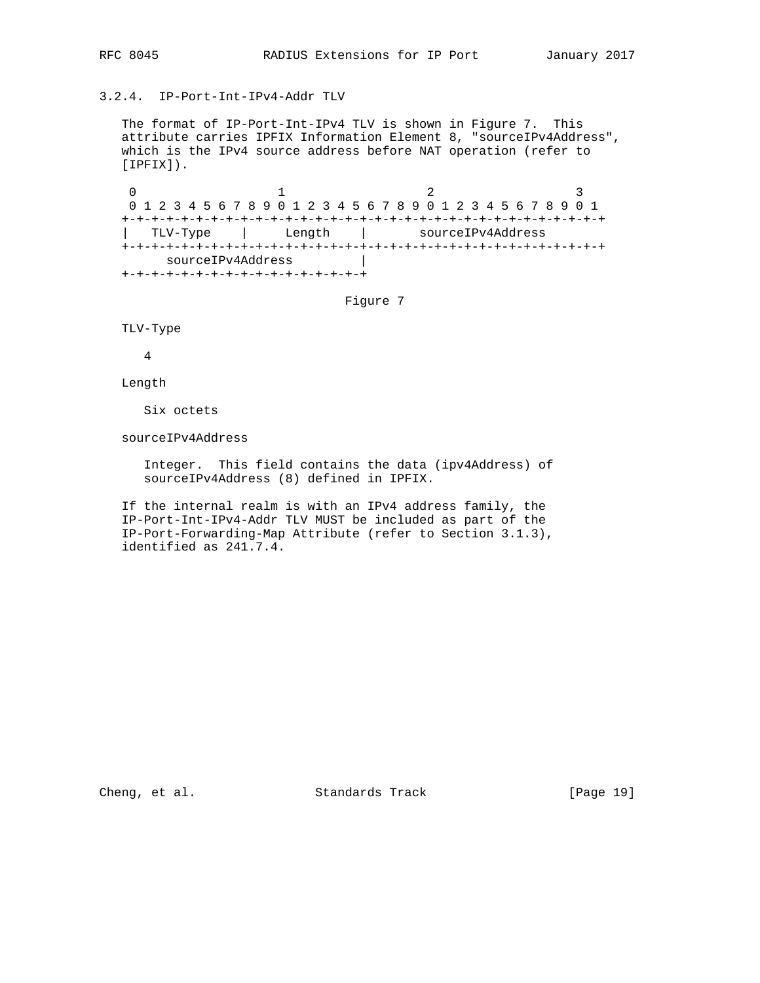## 3.2.4. IP-Port-Int-IPv4-Addr TLV

 The format of IP-Port-Int-IPv4 TLV is shown in Figure 7. This attribute carries IPFIX Information Element 8, "sourceIPv4Address", which is the IPv4 source address before NAT operation (refer to [IPFIX]).

0  $1$  2 3 0 1 2 3 4 5 6 7 8 9 0 1 2 3 4 5 6 7 8 9 0 1 2 3 4 5 6 7 8 9 0 1 +-+-+-+-+-+-+-+-+-+-+-+-+-+-+-+-+-+-+-+-+-+-+-+-+-+-+-+-+-+-+-+-+ | TLV-Type | Length | sourceIPv4Address +-+-+-+-+-+-+-+-+-+-+-+-+-+-+-+-+-+-+-+-+-+-+-+-+-+-+-+-+-+-+-+-+ sourceIPv4Address | +-+-+-+-+-+-+-+-+-+-+-+-+-+-+-+-+

Figure 7

TLV-Type

4

Length

Six octets

sourceIPv4Address

 Integer. This field contains the data (ipv4Address) of sourceIPv4Address (8) defined in IPFIX.

 If the internal realm is with an IPv4 address family, the IP-Port-Int-IPv4-Addr TLV MUST be included as part of the IP-Port-Forwarding-Map Attribute (refer to Section 3.1.3), identified as 241.7.4.

Cheng, et al. Standards Track [Page 19]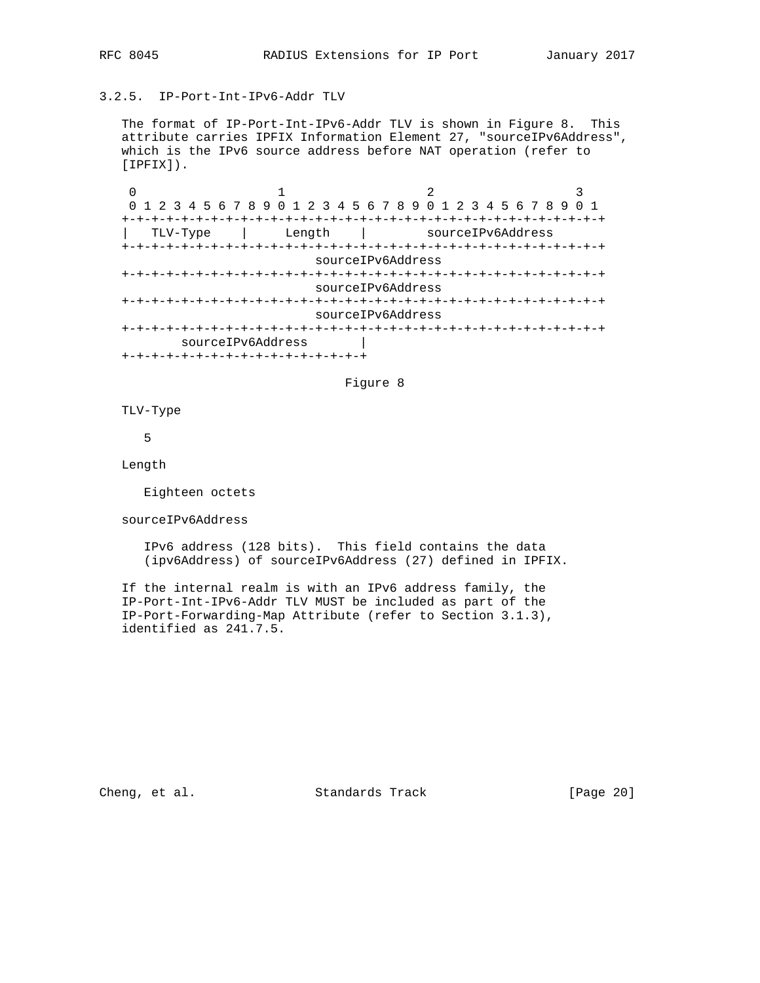## 3.2.5. IP-Port-Int-IPv6-Addr TLV

 The format of IP-Port-Int-IPv6-Addr TLV is shown in Figure 8. This attribute carries IPFIX Information Element 27, "sourceIPv6Address", which is the IPv6 source address before NAT operation (refer to [IPFIX]).

0  $1$  2 3 0 1 2 3 4 5 6 7 8 9 0 1 2 3 4 5 6 7 8 9 0 1 2 3 4 5 6 7 8 9 0 1 +-+-+-+-+-+-+-+-+-+-+-+-+-+-+-+-+-+-+-+-+-+-+-+-+-+-+-+-+-+-+-+-+ | TLV-Type | Length | sourceIPv6Address +-+-+-+-+-+-+-+-+-+-+-+-+-+-+-+-+-+-+-+-+-+-+-+-+-+-+-+-+-+-+-+-+ sourceIPv6Address +-+-+-+-+-+-+-+-+-+-+-+-+-+-+-+-+-+-+-+-+-+-+-+-+-+-+-+-+-+-+-+-+ sourceIPv6Address +-+-+-+-+-+-+-+-+-+-+-+-+-+-+-+-+-+-+-+-+-+-+-+-+-+-+-+-+-+-+-+-+ sourceIPv6Address +-+-+-+-+-+-+-+-+-+-+-+-+-+-+-+-+-+-+-+-+-+-+-+-+-+-+-+-+-+-+-+-+ sourceIPv6Address | +-+-+-+-+-+-+-+-+-+-+-+-+-+-+-+-+

### Figure 8

TLV-Type

5

Length

Eighteen octets

sourceIPv6Address

 IPv6 address (128 bits). This field contains the data (ipv6Address) of sourceIPv6Address (27) defined in IPFIX.

 If the internal realm is with an IPv6 address family, the IP-Port-Int-IPv6-Addr TLV MUST be included as part of the IP-Port-Forwarding-Map Attribute (refer to Section 3.1.3), identified as 241.7.5.

Cheng, et al. Standards Track [Page 20]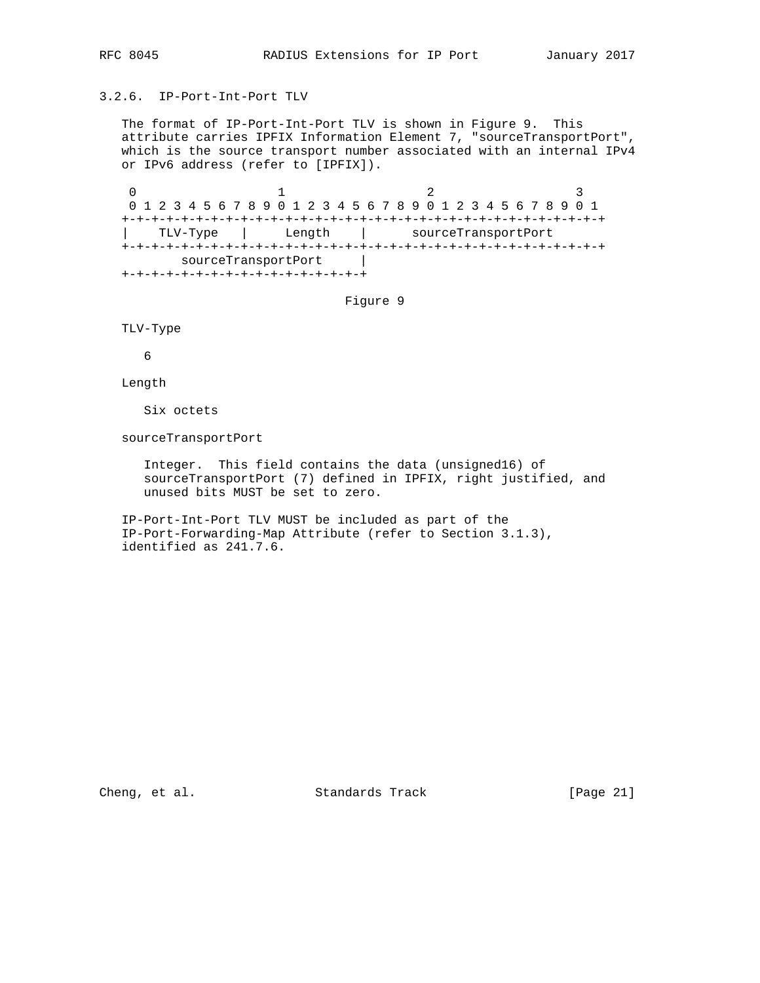## 3.2.6. IP-Port-Int-Port TLV

 The format of IP-Port-Int-Port TLV is shown in Figure 9. This attribute carries IPFIX Information Element 7, "sourceTransportPort", which is the source transport number associated with an internal IPv4 or IPv6 address (refer to [IPFIX]).

0  $1$  2 3 0 1 2 3 4 5 6 7 8 9 0 1 2 3 4 5 6 7 8 9 0 1 2 3 4 5 6 7 8 9 0 1 +-+-+-+-+-+-+-+-+-+-+-+-+-+-+-+-+-+-+-+-+-+-+-+-+-+-+-+-+-+-+-+-+ | TLV-Type | Length | sourceTransportPort +-+-+-+-+-+-+-+-+-+-+-+-+-+-+-+-+-+-+-+-+-+-+-+-+-+-+-+-+-+-+-+-+ sourceTransportPort | +-+-+-+-+-+-+-+-+-+-+-+-+-+-+-+-+

Figure 9

TLV-Type

6

Length

Six octets

sourceTransportPort

 Integer. This field contains the data (unsigned16) of sourceTransportPort (7) defined in IPFIX, right justified, and unused bits MUST be set to zero.

 IP-Port-Int-Port TLV MUST be included as part of the IP-Port-Forwarding-Map Attribute (refer to Section 3.1.3), identified as 241.7.6.

Cheng, et al. Standards Track [Page 21]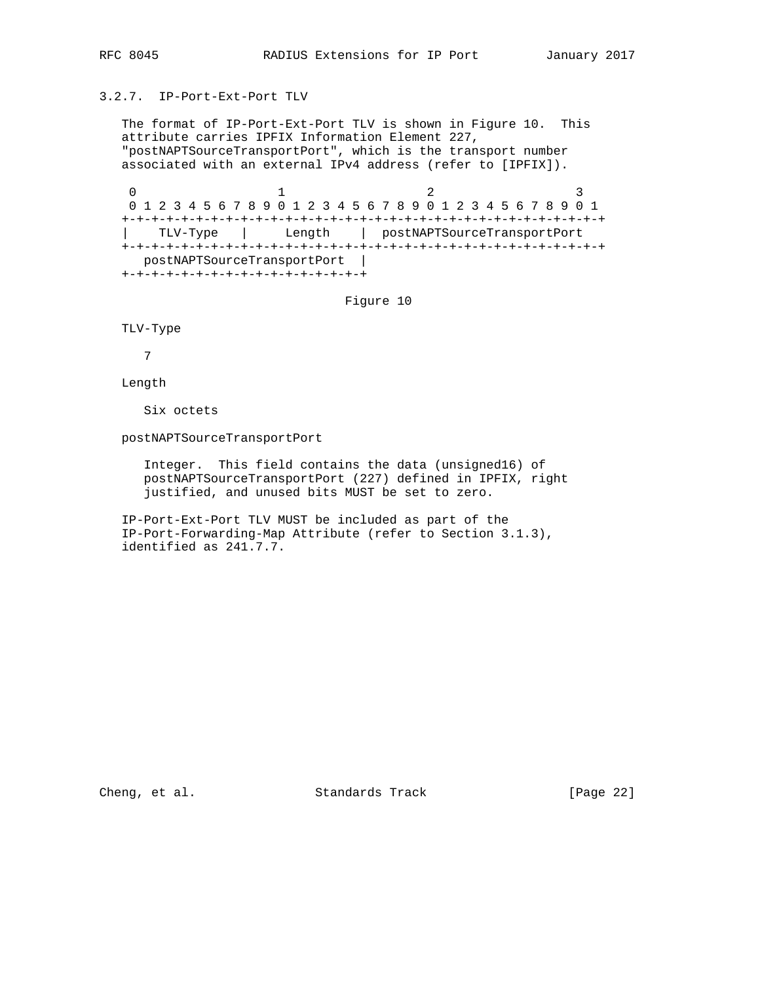#### 3.2.7. IP-Port-Ext-Port TLV

 The format of IP-Port-Ext-Port TLV is shown in Figure 10. This attribute carries IPFIX Information Element 227, "postNAPTSourceTransportPort", which is the transport number associated with an external IPv4 address (refer to [IPFIX]).

0  $1$  2 3 0 1 2 3 4 5 6 7 8 9 0 1 2 3 4 5 6 7 8 9 0 1 2 3 4 5 6 7 8 9 0 1 +-+-+-+-+-+-+-+-+-+-+-+-+-+-+-+-+-+-+-+-+-+-+-+-+-+-+-+-+-+-+-+-+ | TLV-Type | Length | postNAPTSourceTransportPort +-+-+-+-+-+-+-+-+-+-+-+-+-+-+-+-+-+-+-+-+-+-+-+-+-+-+-+-+-+-+-+-+ postNAPTSourceTransportPort | +-+-+-+-+-+-+-+-+-+-+-+-+-+-+-+-+

Figure 10

TLV-Type

7

Length

Six octets

postNAPTSourceTransportPort

 Integer. This field contains the data (unsigned16) of postNAPTSourceTransportPort (227) defined in IPFIX, right justified, and unused bits MUST be set to zero.

 IP-Port-Ext-Port TLV MUST be included as part of the IP-Port-Forwarding-Map Attribute (refer to Section 3.1.3), identified as 241.7.7.

Cheng, et al. Standards Track [Page 22]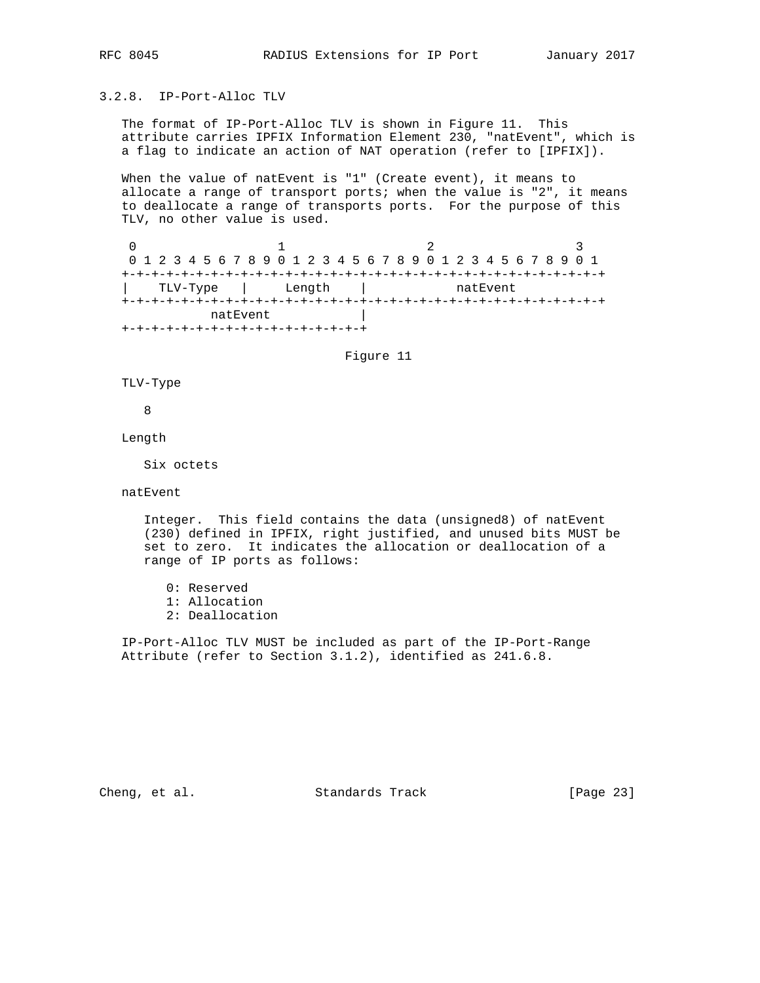## 3.2.8. IP-Port-Alloc TLV

 The format of IP-Port-Alloc TLV is shown in Figure 11. This attribute carries IPFIX Information Element 230, "natEvent", which is a flag to indicate an action of NAT operation (refer to [IPFIX]).

When the value of natEvent is "1" (Create event), it means to allocate a range of transport ports; when the value is "2", it means to deallocate a range of transports ports. For the purpose of this TLV, no other value is used.

0  $1$  2 3 0 1 2 3 4 5 6 7 8 9 0 1 2 3 4 5 6 7 8 9 0 1 2 3 4 5 6 7 8 9 0 1 +-+-+-+-+-+-+-+-+-+-+-+-+-+-+-+-+-+-+-+-+-+-+-+-+-+-+-+-+-+-+-+-+ | TLV-Type | Length | natEvent +-+-+-+-+-+-+-+-+-+-+-+-+-+-+-+-+-+-+-+-+-+-+-+-+-+-+-+-+-+-+-+-+ natEvent | +-+-+-+-+-+-+-+-+-+-+-+-+-+-+-+-+

Figure 11

TLV-Type

8

Length

Six octets

natEvent

 Integer. This field contains the data (unsigned8) of natEvent (230) defined in IPFIX, right justified, and unused bits MUST be set to zero. It indicates the allocation or deallocation of a range of IP ports as follows:

 0: Reserved 1: Allocation 2: Deallocation

 IP-Port-Alloc TLV MUST be included as part of the IP-Port-Range Attribute (refer to Section 3.1.2), identified as 241.6.8.

Cheng, et al. Standards Track [Page 23]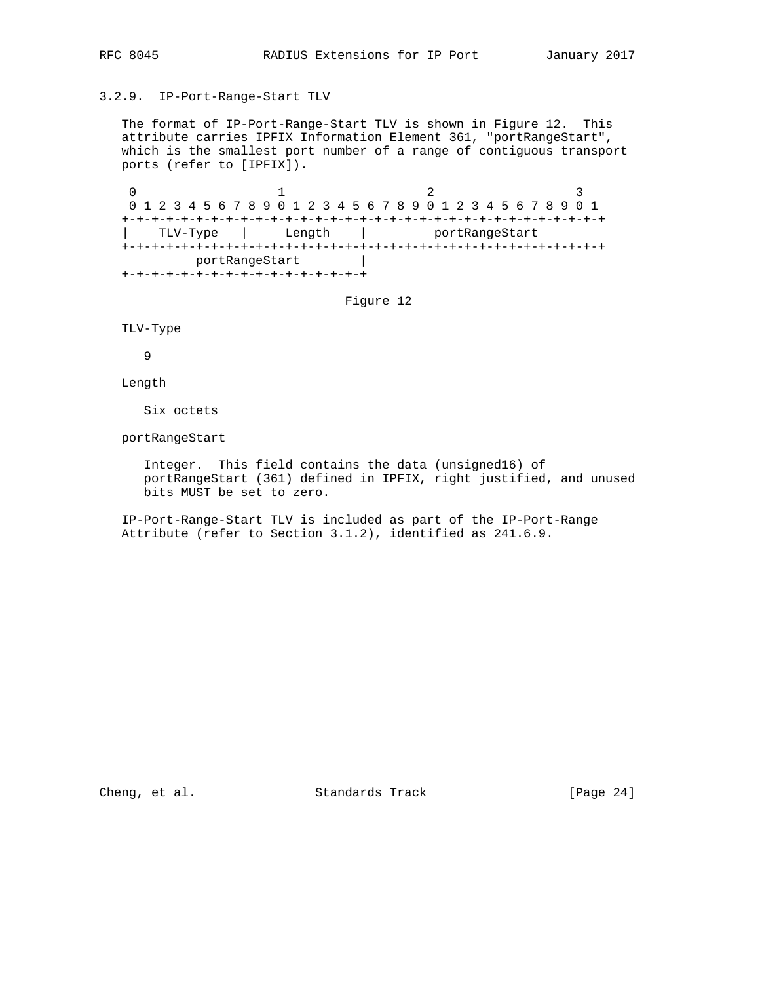### 3.2.9. IP-Port-Range-Start TLV

 The format of IP-Port-Range-Start TLV is shown in Figure 12. This attribute carries IPFIX Information Element 361, "portRangeStart", which is the smallest port number of a range of contiguous transport ports (refer to [IPFIX]).

0  $1$  2 3 0 1 2 3 4 5 6 7 8 9 0 1 2 3 4 5 6 7 8 9 0 1 2 3 4 5 6 7 8 9 0 1 +-+-+-+-+-+-+-+-+-+-+-+-+-+-+-+-+-+-+-+-+-+-+-+-+-+-+-+-+-+-+-+-+ TLV-Type | Length | portRangeStart +-+-+-+-+-+-+-+-+-+-+-+-+-+-+-+-+-+-+-+-+-+-+-+-+-+-+-+-+-+-+-+-+ portRangeStart | +-+-+-+-+-+-+-+-+-+-+-+-+-+-+-+-+

Figure 12

TLV-Type

9

Length

Six octets

portRangeStart

 Integer. This field contains the data (unsigned16) of portRangeStart (361) defined in IPFIX, right justified, and unused bits MUST be set to zero.

 IP-Port-Range-Start TLV is included as part of the IP-Port-Range Attribute (refer to Section 3.1.2), identified as 241.6.9.

Cheng, et al. Standards Track [Page 24]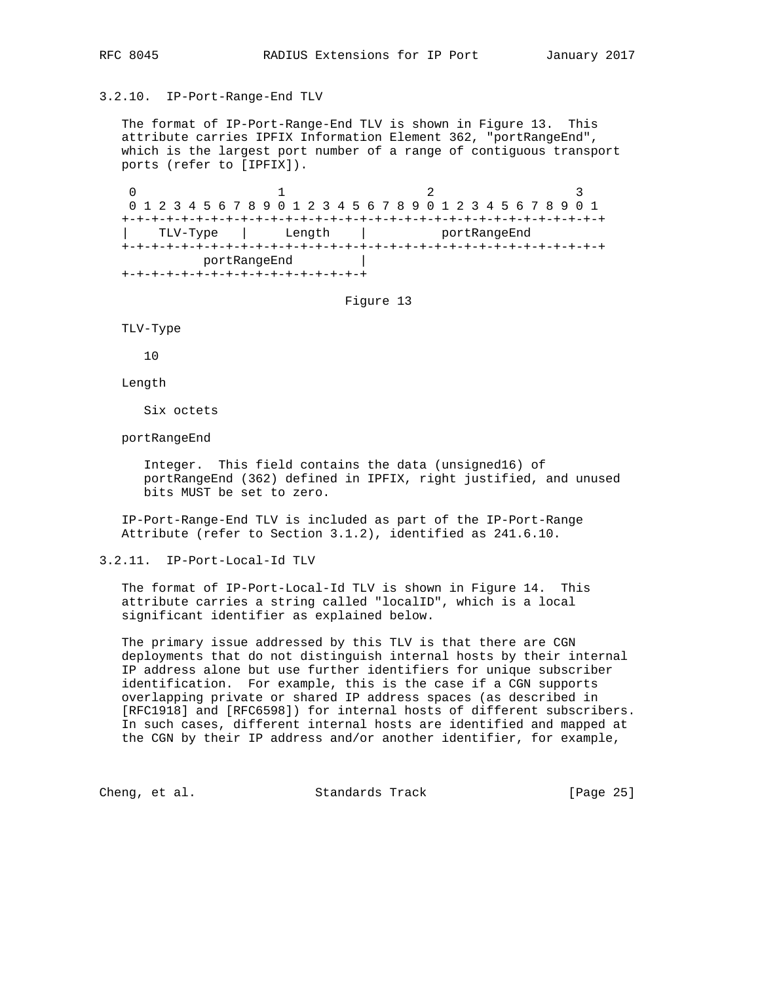## 3.2.10. IP-Port-Range-End TLV

 The format of IP-Port-Range-End TLV is shown in Figure 13. This attribute carries IPFIX Information Element 362, "portRangeEnd", which is the largest port number of a range of contiguous transport ports (refer to [IPFIX]).

0  $1$  2 3 0 1 2 3 4 5 6 7 8 9 0 1 2 3 4 5 6 7 8 9 0 1 2 3 4 5 6 7 8 9 0 1 +-+-+-+-+-+-+-+-+-+-+-+-+-+-+-+-+-+-+-+-+-+-+-+-+-+-+-+-+-+-+-+-+ | TLV-Type | Length | portRangeEnd +-+-+-+-+-+-+-+-+-+-+-+-+-+-+-+-+-+-+-+-+-+-+-+-+-+-+-+-+-+-+-+-+ portRangeEnd | +-+-+-+-+-+-+-+-+-+-+-+-+-+-+-+-+

Figure 13

TLV-Type

10

Length

Six octets

portRangeEnd

 Integer. This field contains the data (unsigned16) of portRangeEnd (362) defined in IPFIX, right justified, and unused bits MUST be set to zero.

 IP-Port-Range-End TLV is included as part of the IP-Port-Range Attribute (refer to Section 3.1.2), identified as 241.6.10.

3.2.11. IP-Port-Local-Id TLV

 The format of IP-Port-Local-Id TLV is shown in Figure 14. This attribute carries a string called "localID", which is a local significant identifier as explained below.

 The primary issue addressed by this TLV is that there are CGN deployments that do not distinguish internal hosts by their internal IP address alone but use further identifiers for unique subscriber identification. For example, this is the case if a CGN supports overlapping private or shared IP address spaces (as described in [RFC1918] and [RFC6598]) for internal hosts of different subscribers. In such cases, different internal hosts are identified and mapped at the CGN by their IP address and/or another identifier, for example,

Cheng, et al. Standards Track [Page 25]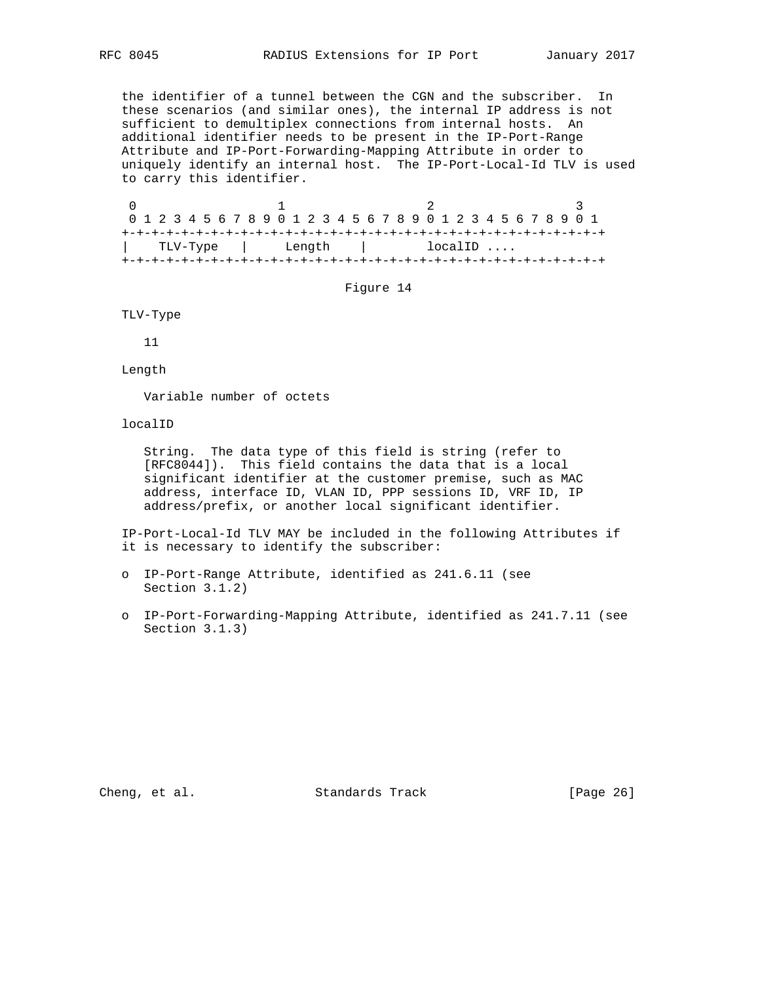the identifier of a tunnel between the CGN and the subscriber. In these scenarios (and similar ones), the internal IP address is not sufficient to demultiplex connections from internal hosts. An additional identifier needs to be present in the IP-Port-Range Attribute and IP-Port-Forwarding-Mapping Attribute in order to uniquely identify an internal host. The IP-Port-Local-Id TLV is used to carry this identifier.

0  $1$  2 3 0 1 2 3 4 5 6 7 8 9 0 1 2 3 4 5 6 7 8 9 0 1 2 3 4 5 6 7 8 9 0 1 +-+-+-+-+-+-+-+-+-+-+-+-+-+-+-+-+-+-+-+-+-+-+-+-+-+-+-+-+-+-+-+-+ | TLV-Type | Length | localID .... +-+-+-+-+-+-+-+-+-+-+-+-+-+-+-+-+-+-+-+-+-+-+-+-+-+-+-+-+-+-+-+-+

Figure 14

TLV-Type

11

Length

Variable number of octets

localID

 String. The data type of this field is string (refer to [RFC8044]). This field contains the data that is a local significant identifier at the customer premise, such as MAC address, interface ID, VLAN ID, PPP sessions ID, VRF ID, IP address/prefix, or another local significant identifier.

 IP-Port-Local-Id TLV MAY be included in the following Attributes if it is necessary to identify the subscriber:

- o IP-Port-Range Attribute, identified as 241.6.11 (see Section 3.1.2)
- o IP-Port-Forwarding-Mapping Attribute, identified as 241.7.11 (see Section 3.1.3)

Cheng, et al. Standards Track [Page 26]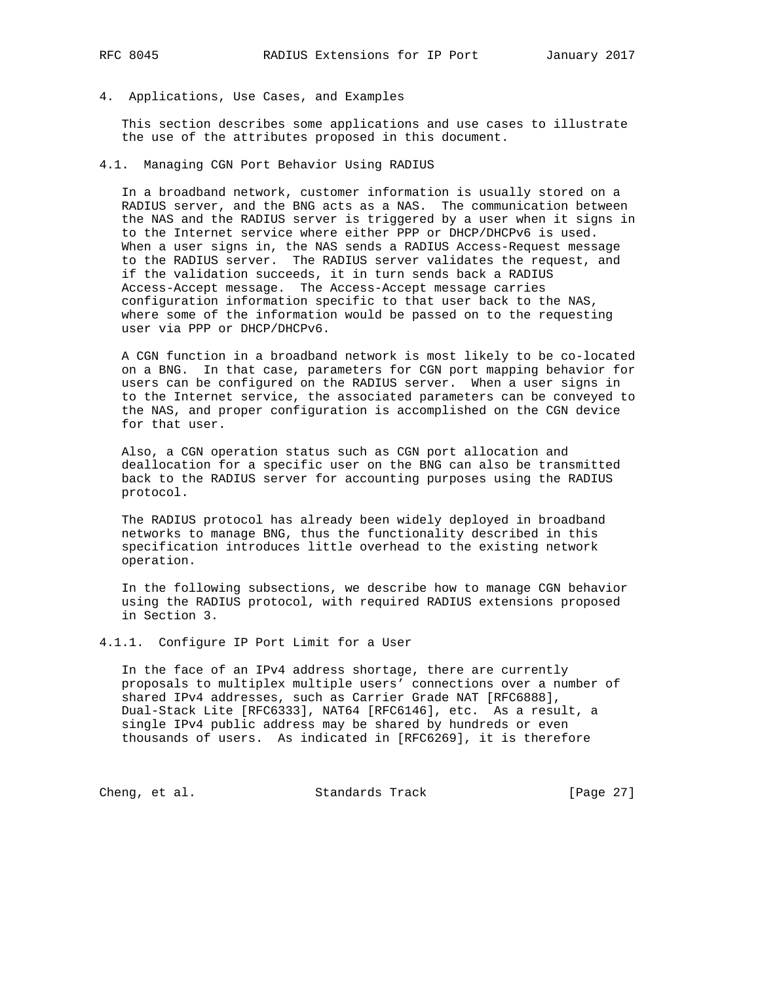4. Applications, Use Cases, and Examples

 This section describes some applications and use cases to illustrate the use of the attributes proposed in this document.

4.1. Managing CGN Port Behavior Using RADIUS

 In a broadband network, customer information is usually stored on a RADIUS server, and the BNG acts as a NAS. The communication between the NAS and the RADIUS server is triggered by a user when it signs in to the Internet service where either PPP or DHCP/DHCPv6 is used. When a user signs in, the NAS sends a RADIUS Access-Request message to the RADIUS server. The RADIUS server validates the request, and if the validation succeeds, it in turn sends back a RADIUS Access-Accept message. The Access-Accept message carries configuration information specific to that user back to the NAS, where some of the information would be passed on to the requesting user via PPP or DHCP/DHCPv6.

 A CGN function in a broadband network is most likely to be co-located on a BNG. In that case, parameters for CGN port mapping behavior for users can be configured on the RADIUS server. When a user signs in to the Internet service, the associated parameters can be conveyed to the NAS, and proper configuration is accomplished on the CGN device for that user.

 Also, a CGN operation status such as CGN port allocation and deallocation for a specific user on the BNG can also be transmitted back to the RADIUS server for accounting purposes using the RADIUS protocol.

 The RADIUS protocol has already been widely deployed in broadband networks to manage BNG, thus the functionality described in this specification introduces little overhead to the existing network operation.

 In the following subsections, we describe how to manage CGN behavior using the RADIUS protocol, with required RADIUS extensions proposed in Section 3.

4.1.1. Configure IP Port Limit for a User

 In the face of an IPv4 address shortage, there are currently proposals to multiplex multiple users' connections over a number of shared IPv4 addresses, such as Carrier Grade NAT [RFC6888], Dual-Stack Lite [RFC6333], NAT64 [RFC6146], etc. As a result, a single IPv4 public address may be shared by hundreds or even thousands of users. As indicated in [RFC6269], it is therefore

Cheng, et al. Standards Track [Page 27]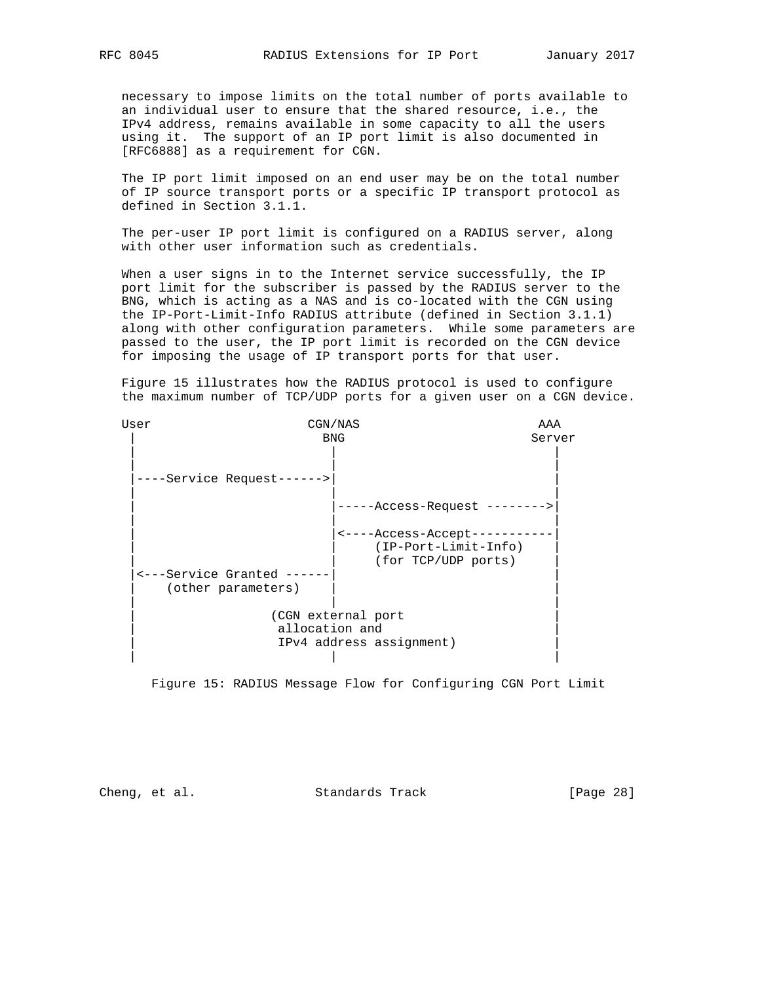necessary to impose limits on the total number of ports available to an individual user to ensure that the shared resource, i.e., the IPv4 address, remains available in some capacity to all the users using it. The support of an IP port limit is also documented in [RFC6888] as a requirement for CGN.

 The IP port limit imposed on an end user may be on the total number of IP source transport ports or a specific IP transport protocol as defined in Section 3.1.1.

 The per-user IP port limit is configured on a RADIUS server, along with other user information such as credentials.

 When a user signs in to the Internet service successfully, the IP port limit for the subscriber is passed by the RADIUS server to the BNG, which is acting as a NAS and is co-located with the CGN using the IP-Port-Limit-Info RADIUS attribute (defined in Section 3.1.1) along with other configuration parameters. While some parameters are passed to the user, the IP port limit is recorded on the CGN device for imposing the usage of IP transport ports for that user.

 Figure 15 illustrates how the RADIUS protocol is used to configure the maximum number of TCP/UDP ports for a given user on a CGN device.

| User |                                             | CGN/NAS                                                             | AAA    |
|------|---------------------------------------------|---------------------------------------------------------------------|--------|
|      |                                             | <b>BNG</b>                                                          | Server |
|      | ----Service Request------>                  |                                                                     |        |
|      |                                             | -Access-Request -------->                                           |        |
|      | <---Service Granted -<br>(other parameters) | <----Access-Accept--<br>(IP-Port-Limit-Info)<br>(for TCP/UDP ports) |        |
|      | allocation and                              | (CGN external port<br>IPv4 address assignment)                      |        |

Figure 15: RADIUS Message Flow for Configuring CGN Port Limit

Cheng, et al. Standards Track [Page 28]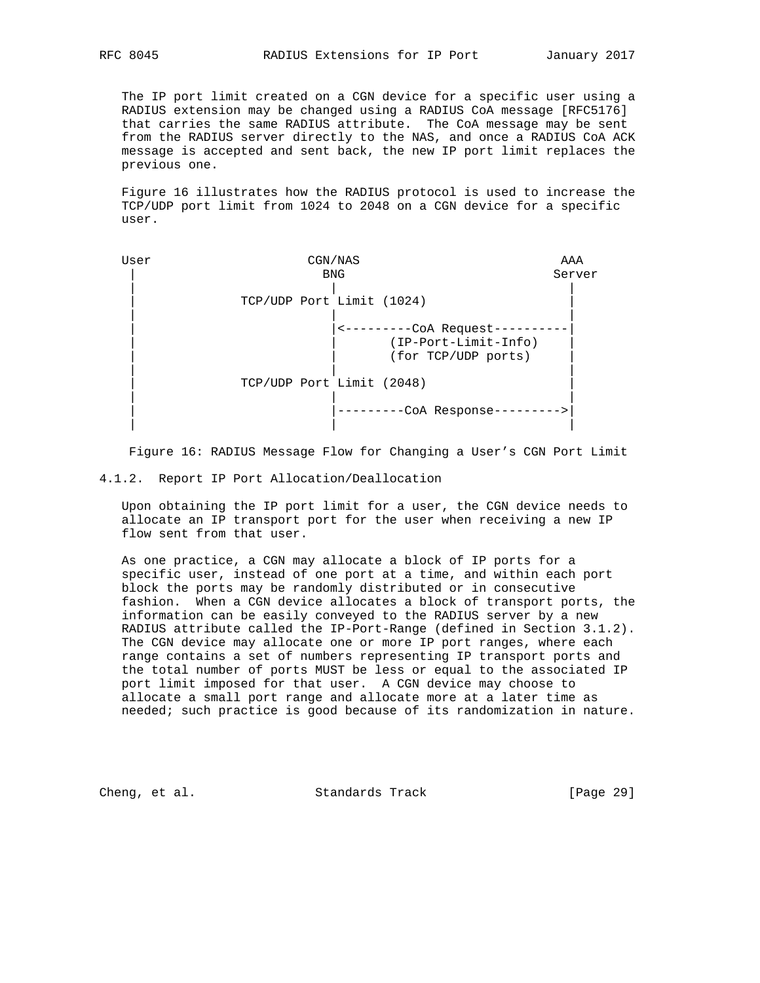The IP port limit created on a CGN device for a specific user using a RADIUS extension may be changed using a RADIUS CoA message [RFC5176] that carries the same RADIUS attribute. The CoA message may be sent from the RADIUS server directly to the NAS, and once a RADIUS CoA ACK message is accepted and sent back, the new IP port limit replaces the previous one.

 Figure 16 illustrates how the RADIUS protocol is used to increase the TCP/UDP port limit from 1024 to 2048 on a CGN device for a specific user.

| User | CGN/NAS                                                                | AAA    |
|------|------------------------------------------------------------------------|--------|
|      | <b>BNG</b>                                                             | Server |
|      | TCP/UDP Port Limit (1024)                                              |        |
|      | <---------CoA Request--<br>(IP-Port-Limit-Info)<br>(for TCP/UDP ports) |        |
|      | TCP/UDP Port Limit (2048)                                              |        |
|      | -CoA Response-                                                         |        |

Figure 16: RADIUS Message Flow for Changing a User's CGN Port Limit

4.1.2. Report IP Port Allocation/Deallocation

 Upon obtaining the IP port limit for a user, the CGN device needs to allocate an IP transport port for the user when receiving a new IP flow sent from that user.

 As one practice, a CGN may allocate a block of IP ports for a specific user, instead of one port at a time, and within each port block the ports may be randomly distributed or in consecutive fashion. When a CGN device allocates a block of transport ports, the information can be easily conveyed to the RADIUS server by a new RADIUS attribute called the IP-Port-Range (defined in Section 3.1.2). The CGN device may allocate one or more IP port ranges, where each range contains a set of numbers representing IP transport ports and the total number of ports MUST be less or equal to the associated IP port limit imposed for that user. A CGN device may choose to allocate a small port range and allocate more at a later time as needed; such practice is good because of its randomization in nature.

Cheng, et al. Standards Track [Page 29]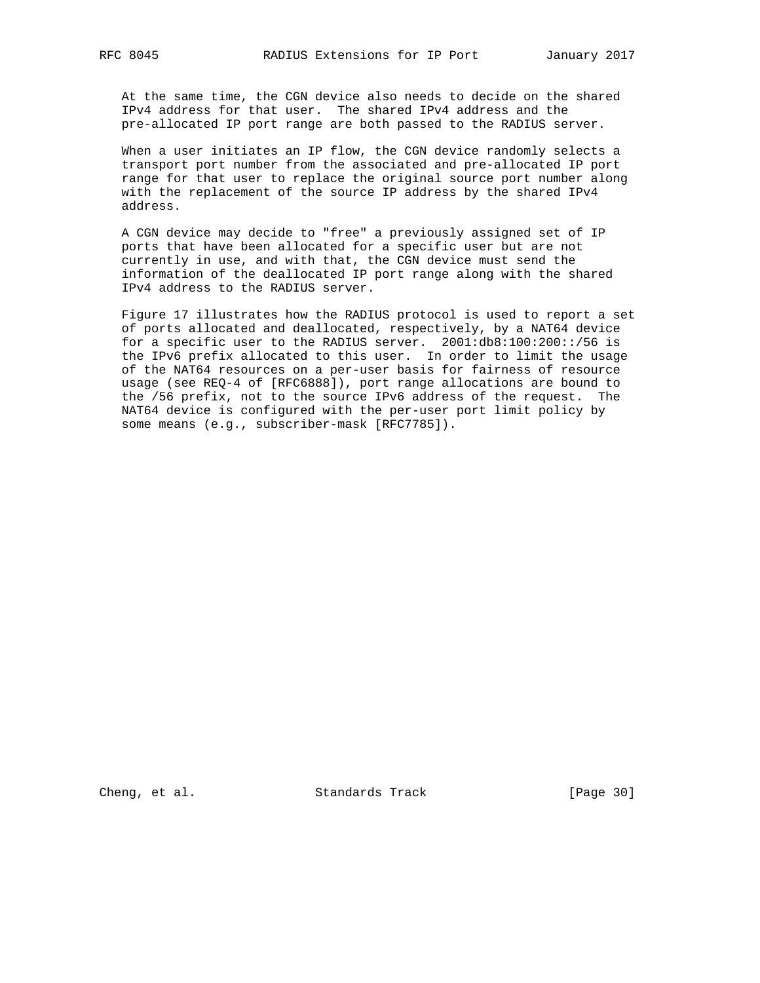At the same time, the CGN device also needs to decide on the shared IPv4 address for that user. The shared IPv4 address and the pre-allocated IP port range are both passed to the RADIUS server.

 When a user initiates an IP flow, the CGN device randomly selects a transport port number from the associated and pre-allocated IP port range for that user to replace the original source port number along with the replacement of the source IP address by the shared IPv4 address.

 A CGN device may decide to "free" a previously assigned set of IP ports that have been allocated for a specific user but are not currently in use, and with that, the CGN device must send the information of the deallocated IP port range along with the shared IPv4 address to the RADIUS server.

 Figure 17 illustrates how the RADIUS protocol is used to report a set of ports allocated and deallocated, respectively, by a NAT64 device for a specific user to the RADIUS server. 2001:db8:100:200::/56 is the IPv6 prefix allocated to this user. In order to limit the usage of the NAT64 resources on a per-user basis for fairness of resource usage (see REQ-4 of [RFC6888]), port range allocations are bound to the /56 prefix, not to the source IPv6 address of the request. The NAT64 device is configured with the per-user port limit policy by some means (e.g., subscriber-mask [RFC7785]).

Cheng, et al. Standards Track [Page 30]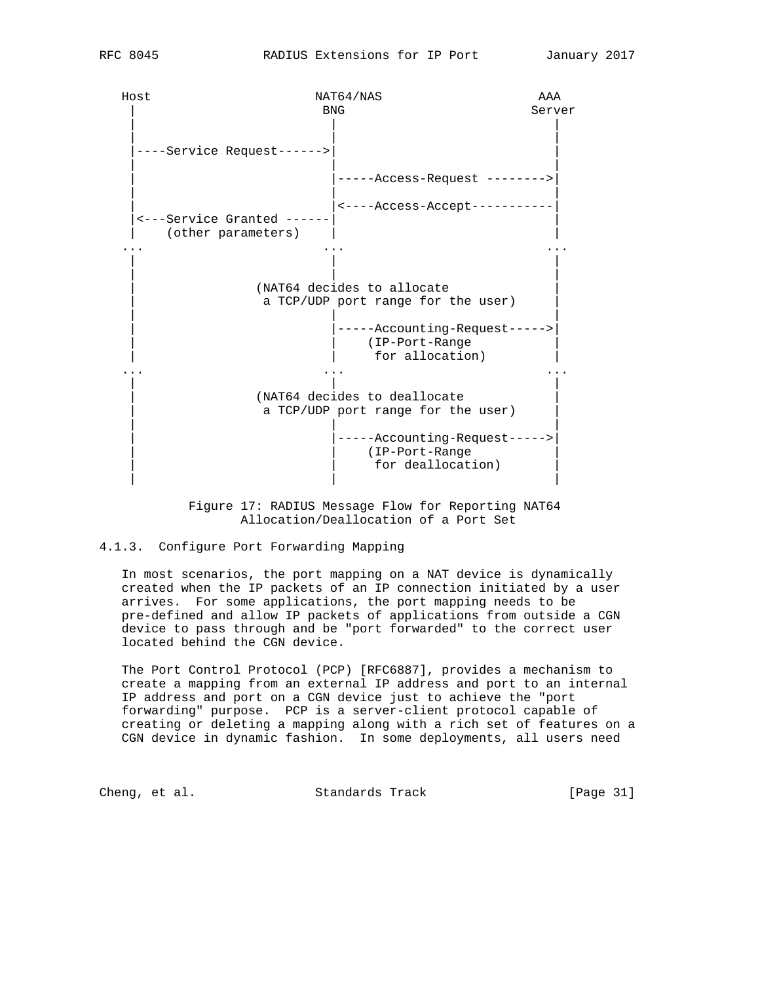Host NAT64/NAS AAA | BNG Server | | | | | | |----Service Request------>| | | | | | |-----Access-Request -------->| | | | | <----Access-Accept----------- |<---Service Granted ------| | (other parameters) ... ... ... | | | | | | (NAT64 decides to allocate a TCP/UDP port range for the user) | | | -----Accounting-Request----->| | | (IP-Port-Range | for allocation) ... ... ... | | | (NAT64 decides to deallocate a TCP/UDP port range for the user)  $|$  | | | | |-----Accounting-Request----->| | | (IP-Port-Range | for deallocation) | | |

> Figure 17: RADIUS Message Flow for Reporting NAT64 Allocation/Deallocation of a Port Set

## 4.1.3. Configure Port Forwarding Mapping

 In most scenarios, the port mapping on a NAT device is dynamically created when the IP packets of an IP connection initiated by a user arrives. For some applications, the port mapping needs to be pre-defined and allow IP packets of applications from outside a CGN device to pass through and be "port forwarded" to the correct user located behind the CGN device.

 The Port Control Protocol (PCP) [RFC6887], provides a mechanism to create a mapping from an external IP address and port to an internal IP address and port on a CGN device just to achieve the "port forwarding" purpose. PCP is a server-client protocol capable of creating or deleting a mapping along with a rich set of features on a CGN device in dynamic fashion. In some deployments, all users need

Cheng, et al. Standards Track [Page 31]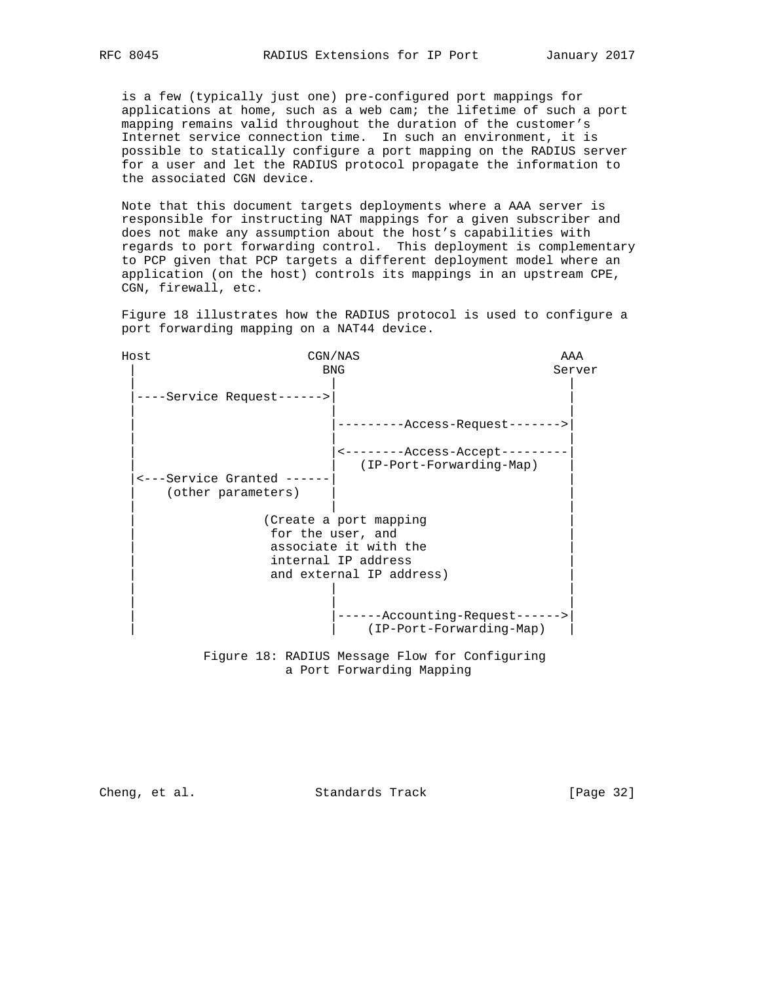is a few (typically just one) pre-configured port mappings for applications at home, such as a web cam; the lifetime of such a port mapping remains valid throughout the duration of the customer's Internet service connection time. In such an environment, it is possible to statically configure a port mapping on the RADIUS server for a user and let the RADIUS protocol propagate the information to the associated CGN device.

 Note that this document targets deployments where a AAA server is responsible for instructing NAT mappings for a given subscriber and does not make any assumption about the host's capabilities with regards to port forwarding control. This deployment is complementary to PCP given that PCP targets a different deployment model where an application (on the host) controls its mappings in an upstream CPE, CGN, firewall, etc.

 Figure 18 illustrates how the RADIUS protocol is used to configure a port forwarding mapping on a NAT44 device.

| Host |                                                | CGN/NAS                                                  | AAA    |
|------|------------------------------------------------|----------------------------------------------------------|--------|
|      |                                                | <b>BNG</b>                                               | Server |
|      | ----Service Request------>                     |                                                          |        |
|      |                                                | --------Access-Request------->                           |        |
|      |                                                | <--------Access-Accept------<br>(IP-Port-Forwarding-Map) |        |
|      | <---Service Granted ----<br>(other parameters) |                                                          |        |
|      |                                                | (Create a port mapping                                   |        |
|      |                                                | for the user, and                                        |        |
|      |                                                | associate it with the                                    |        |
|      |                                                | internal IP address                                      |        |
|      |                                                | and external IP address)                                 |        |
|      |                                                |                                                          |        |
|      |                                                | ------Accounting-Request------>                          |        |
|      |                                                | (IP-Port-Forwarding-Map)                                 |        |

 Figure 18: RADIUS Message Flow for Configuring a Port Forwarding Mapping

Cheng, et al. Standards Track [Page 32]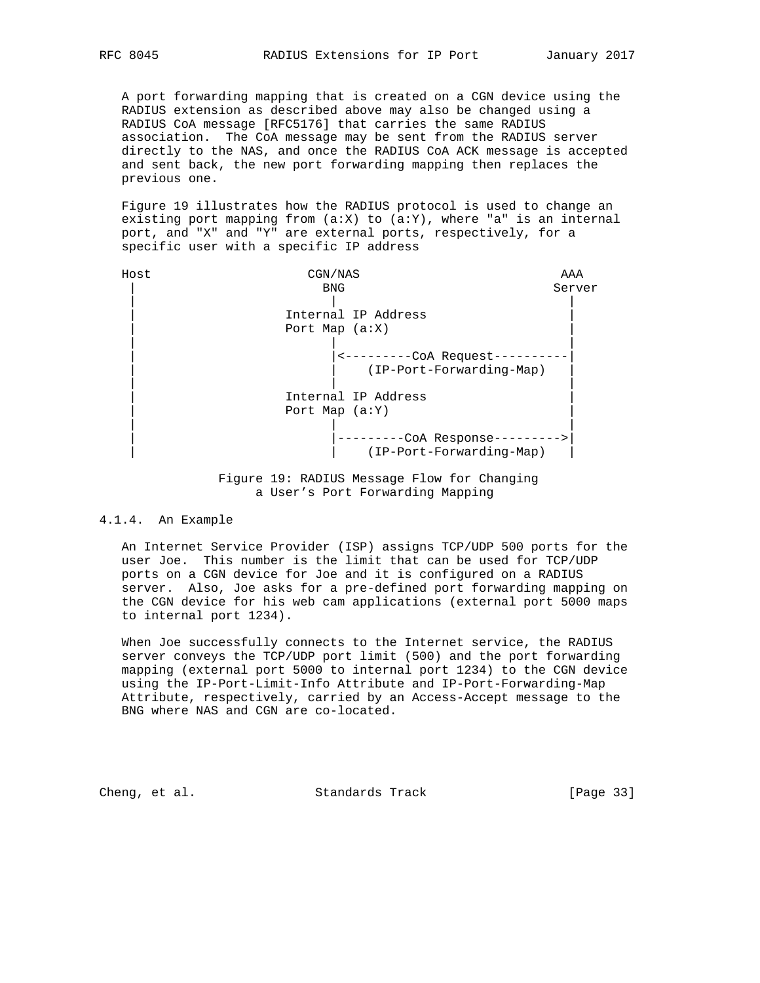A port forwarding mapping that is created on a CGN device using the RADIUS extension as described above may also be changed using a RADIUS CoA message [RFC5176] that carries the same RADIUS association. The CoA message may be sent from the RADIUS server directly to the NAS, and once the RADIUS CoA ACK message is accepted and sent back, the new port forwarding mapping then replaces the previous one.

 Figure 19 illustrates how the RADIUS protocol is used to change an existing port mapping from  $(a:X)$  to  $(a:Y)$ , where "a" is an internal port, and "X" and "Y" are external ports, respectively, for a specific user with a specific IP address

| <b>BNG</b><br>Server<br>Internal IP Address |  |
|---------------------------------------------|--|
|                                             |  |
|                                             |  |
|                                             |  |
| Port Map $(a:X)$                            |  |
|                                             |  |
| <---------CoA Request-                      |  |
| (IP-Port-Forwarding-Map)                    |  |
| Internal IP Address                         |  |
| Port Map $(a:Y)$                            |  |
|                                             |  |
| -CoA Response--------->                     |  |
| (IP-Port-Forwarding-Map)                    |  |



#### 4.1.4. An Example

 An Internet Service Provider (ISP) assigns TCP/UDP 500 ports for the user Joe. This number is the limit that can be used for TCP/UDP ports on a CGN device for Joe and it is configured on a RADIUS server. Also, Joe asks for a pre-defined port forwarding mapping on the CGN device for his web cam applications (external port 5000 maps to internal port 1234).

 When Joe successfully connects to the Internet service, the RADIUS server conveys the TCP/UDP port limit (500) and the port forwarding mapping (external port 5000 to internal port 1234) to the CGN device using the IP-Port-Limit-Info Attribute and IP-Port-Forwarding-Map Attribute, respectively, carried by an Access-Accept message to the BNG where NAS and CGN are co-located.

Cheng, et al. Standards Track [Page 33]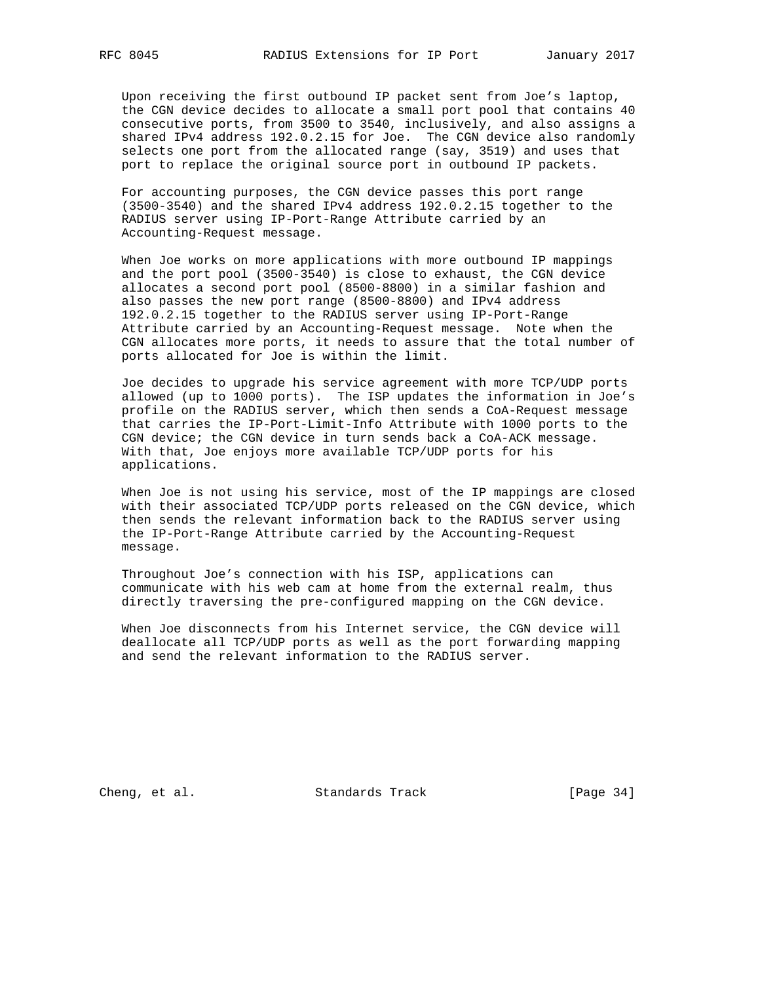Upon receiving the first outbound IP packet sent from Joe's laptop, the CGN device decides to allocate a small port pool that contains 40 consecutive ports, from 3500 to 3540, inclusively, and also assigns a shared IPv4 address 192.0.2.15 for Joe. The CGN device also randomly selects one port from the allocated range (say, 3519) and uses that port to replace the original source port in outbound IP packets.

 For accounting purposes, the CGN device passes this port range (3500-3540) and the shared IPv4 address 192.0.2.15 together to the RADIUS server using IP-Port-Range Attribute carried by an Accounting-Request message.

 When Joe works on more applications with more outbound IP mappings and the port pool (3500-3540) is close to exhaust, the CGN device allocates a second port pool (8500-8800) in a similar fashion and also passes the new port range (8500-8800) and IPv4 address 192.0.2.15 together to the RADIUS server using IP-Port-Range Attribute carried by an Accounting-Request message. Note when the CGN allocates more ports, it needs to assure that the total number of ports allocated for Joe is within the limit.

 Joe decides to upgrade his service agreement with more TCP/UDP ports allowed (up to 1000 ports). The ISP updates the information in Joe's profile on the RADIUS server, which then sends a CoA-Request message that carries the IP-Port-Limit-Info Attribute with 1000 ports to the CGN device; the CGN device in turn sends back a CoA-ACK message. With that, Joe enjoys more available TCP/UDP ports for his applications.

 When Joe is not using his service, most of the IP mappings are closed with their associated TCP/UDP ports released on the CGN device, which then sends the relevant information back to the RADIUS server using the IP-Port-Range Attribute carried by the Accounting-Request message.

 Throughout Joe's connection with his ISP, applications can communicate with his web cam at home from the external realm, thus directly traversing the pre-configured mapping on the CGN device.

 When Joe disconnects from his Internet service, the CGN device will deallocate all TCP/UDP ports as well as the port forwarding mapping and send the relevant information to the RADIUS server.

Cheng, et al. Standards Track [Page 34]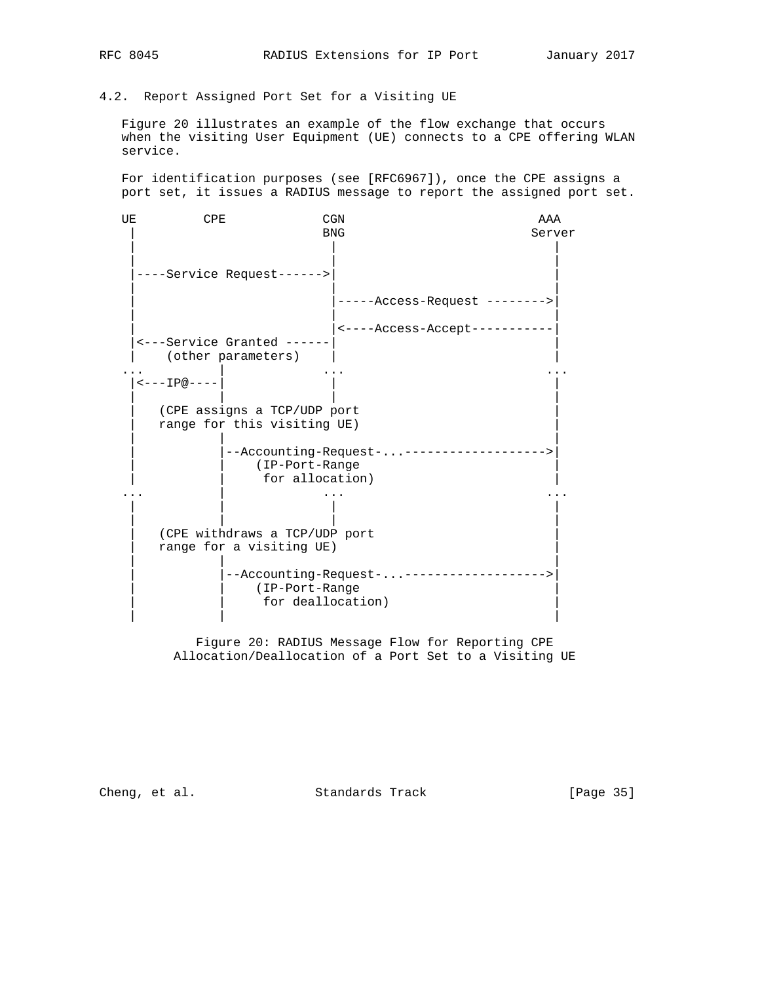## 4.2. Report Assigned Port Set for a Visiting UE

 Figure 20 illustrates an example of the flow exchange that occurs when the visiting User Equipment (UE) connects to a CPE offering WLAN service.

 For identification purposes (see [RFC6967]), once the CPE assigns a port set, it issues a RADIUS message to report the assigned port set.

| UE | <b>CPE</b>                     |                                                            | <b>CGN</b>                                                   | AAA    |
|----|--------------------------------|------------------------------------------------------------|--------------------------------------------------------------|--------|
|    |                                |                                                            | <b>BNG</b>                                                   | Server |
|    |                                | ----Service Request------>                                 |                                                              |        |
|    |                                |                                                            | -----Access-Request -------->                                |        |
|    |                                |                                                            | <----Access-Accept-----------                                |        |
|    |                                | <---Service Granted -----<br>(other parameters)            |                                                              |        |
|    | $\leftarrow$ - - - IP@ - - - - |                                                            |                                                              |        |
|    |                                | (CPE assigns a TCP/UDP port<br>range for this visiting UE) |                                                              |        |
|    |                                | (IP-Port-Range<br>for allocation)                          | --Accounting-Request-------------------->                    |        |
|    |                                |                                                            |                                                              |        |
|    |                                | (CPE withdraws a TCP/UDP port<br>range for a visiting UE)  |                                                              |        |
|    |                                | (IP-Port-Range                                             | --Accounting-Request-------------------<br>for deallocation) |        |

 Figure 20: RADIUS Message Flow for Reporting CPE Allocation/Deallocation of a Port Set to a Visiting UE

Cheng, et al. Standards Track [Page 35]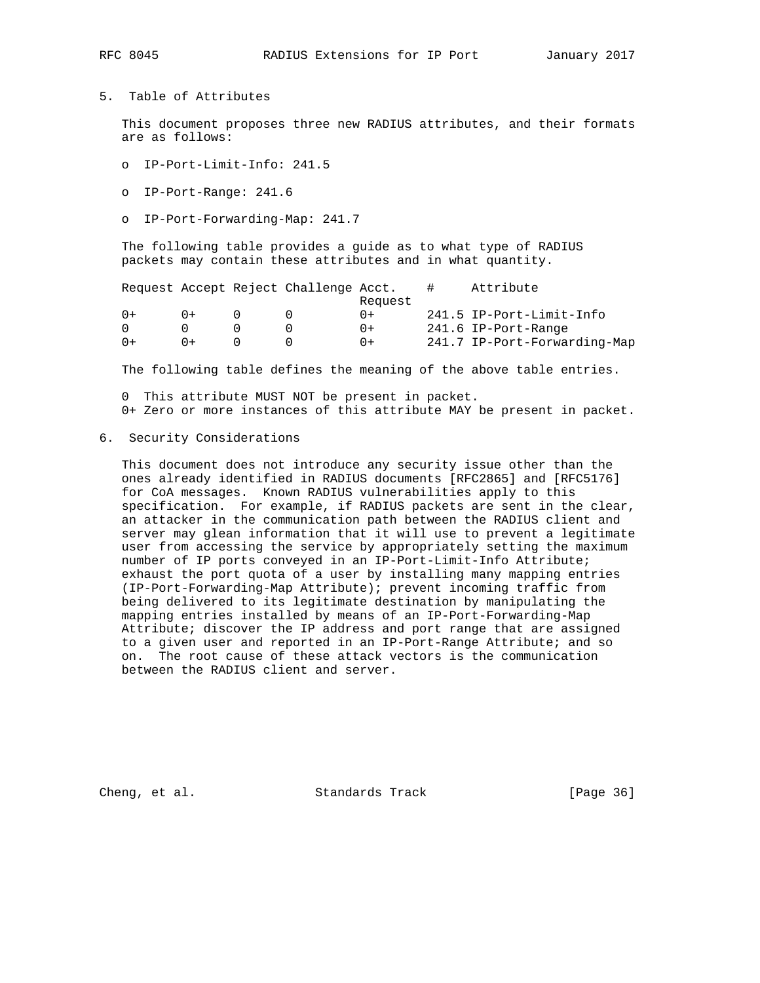# RFC 8045 RADIUS Extensions for IP Port January 2017

#### 5. Table of Attributes

 This document proposes three new RADIUS attributes, and their formats are as follows:

- o IP-Port-Limit-Info: 241.5
- o IP-Port-Range: 241.6
- o IP-Port-Forwarding-Map: 241.7

 The following table provides a guide as to what type of RADIUS packets may contain these attributes and in what quantity.

|        |        | Request Accept Reject Challenge Acct. |         | Attribute                    |
|--------|--------|---------------------------------------|---------|------------------------------|
|        |        |                                       | Request |                              |
| $() +$ | $() +$ |                                       | $0+$    | 241.5 IP-Port-Limit-Info     |
|        |        |                                       | $() +$  | 241.6 IP-Port-Range          |
| 0+     | $() +$ |                                       | $() +$  | 241.7 IP-Port-Forwarding-Map |
|        |        |                                       |         |                              |

The following table defines the meaning of the above table entries.

 0 This attribute MUST NOT be present in packet. 0+ Zero or more instances of this attribute MAY be present in packet.

6. Security Considerations

 This document does not introduce any security issue other than the ones already identified in RADIUS documents [RFC2865] and [RFC5176] for CoA messages. Known RADIUS vulnerabilities apply to this specification. For example, if RADIUS packets are sent in the clear, an attacker in the communication path between the RADIUS client and server may glean information that it will use to prevent a legitimate user from accessing the service by appropriately setting the maximum number of IP ports conveyed in an IP-Port-Limit-Info Attribute; exhaust the port quota of a user by installing many mapping entries (IP-Port-Forwarding-Map Attribute); prevent incoming traffic from being delivered to its legitimate destination by manipulating the mapping entries installed by means of an IP-Port-Forwarding-Map Attribute; discover the IP address and port range that are assigned to a given user and reported in an IP-Port-Range Attribute; and so on. The root cause of these attack vectors is the communication between the RADIUS client and server.

Cheng, et al. Standards Track [Page 36]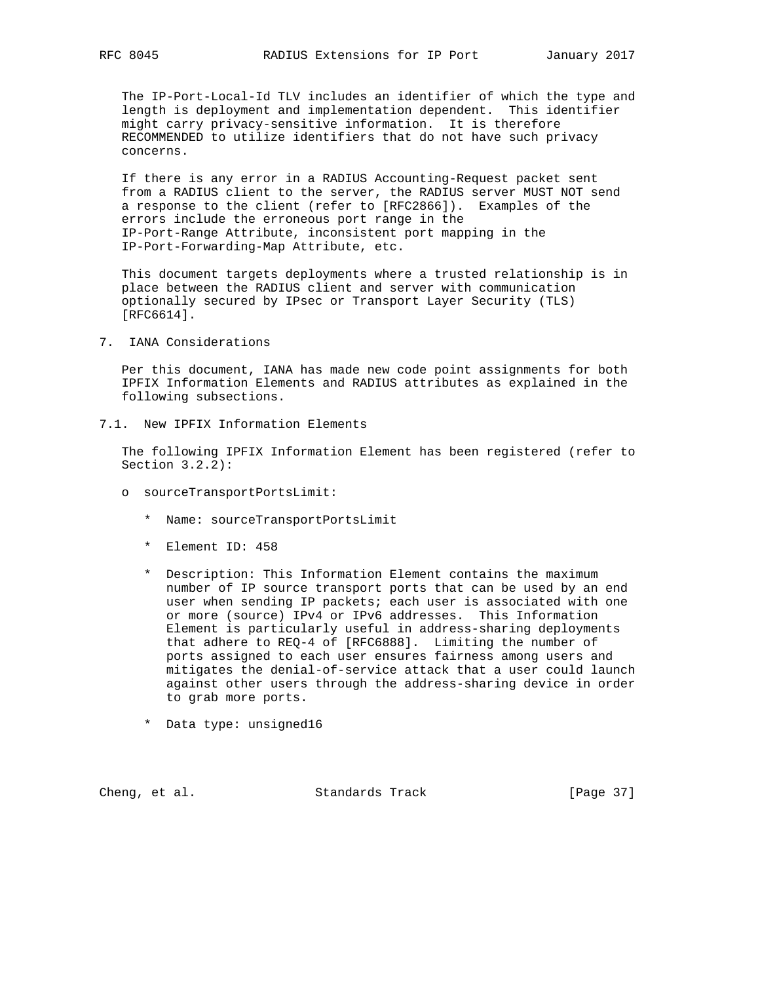The IP-Port-Local-Id TLV includes an identifier of which the type and length is deployment and implementation dependent. This identifier might carry privacy-sensitive information. It is therefore RECOMMENDED to utilize identifiers that do not have such privacy concerns.

 If there is any error in a RADIUS Accounting-Request packet sent from a RADIUS client to the server, the RADIUS server MUST NOT send a response to the client (refer to [RFC2866]). Examples of the errors include the erroneous port range in the IP-Port-Range Attribute, inconsistent port mapping in the IP-Port-Forwarding-Map Attribute, etc.

 This document targets deployments where a trusted relationship is in place between the RADIUS client and server with communication optionally secured by IPsec or Transport Layer Security (TLS) [RFC6614].

7. IANA Considerations

 Per this document, IANA has made new code point assignments for both IPFIX Information Elements and RADIUS attributes as explained in the following subsections.

7.1. New IPFIX Information Elements

 The following IPFIX Information Element has been registered (refer to Section 3.2.2):

- o sourceTransportPortsLimit:
	- \* Name: sourceTransportPortsLimit
	- \* Element ID: 458
	- \* Description: This Information Element contains the maximum number of IP source transport ports that can be used by an end user when sending IP packets; each user is associated with one or more (source) IPv4 or IPv6 addresses. This Information Element is particularly useful in address-sharing deployments that adhere to REQ-4 of [RFC6888]. Limiting the number of ports assigned to each user ensures fairness among users and mitigates the denial-of-service attack that a user could launch against other users through the address-sharing device in order to grab more ports.
	- \* Data type: unsigned16

Cheng, et al. Standards Track [Page 37]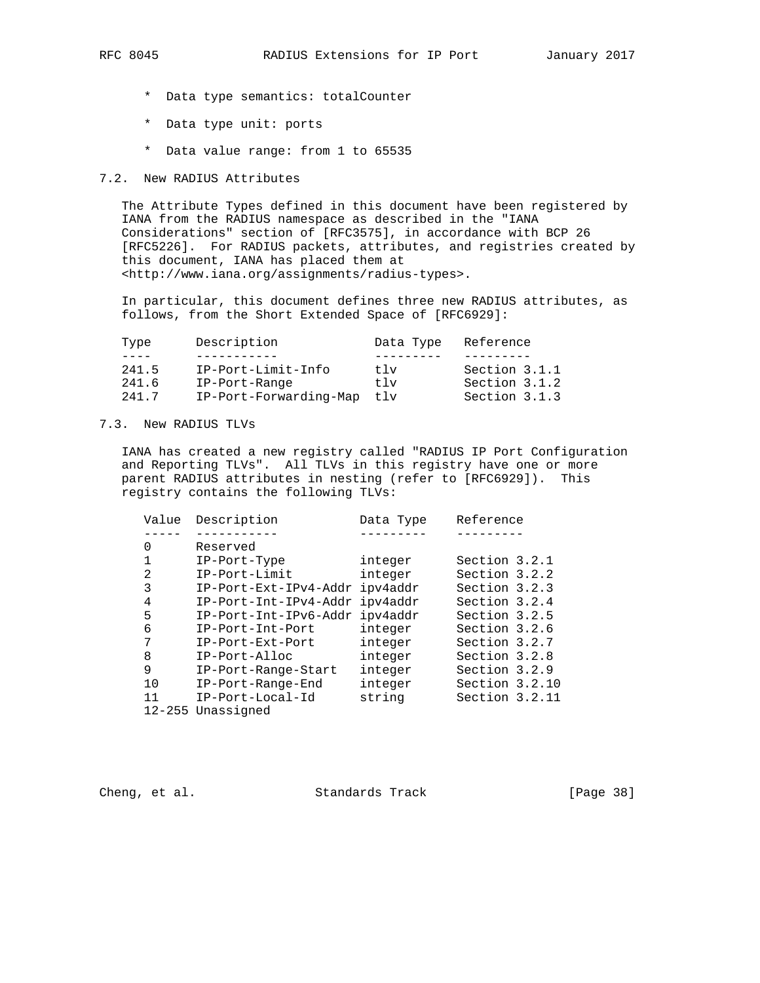- \* Data type semantics: totalCounter
- \* Data type unit: ports
- \* Data value range: from 1 to 65535

### 7.2. New RADIUS Attributes

 The Attribute Types defined in this document have been registered by IANA from the RADIUS namespace as described in the "IANA Considerations" section of [RFC3575], in accordance with BCP 26 [RFC5226]. For RADIUS packets, attributes, and registries created by this document, IANA has placed them at <http://www.iana.org/assignments/radius-types>.

 In particular, this document defines three new RADIUS attributes, as follows, from the Short Extended Space of [RFC6929]:

| Type  | Description            | Data Type | Reference     |
|-------|------------------------|-----------|---------------|
|       |                        |           |               |
| 241.5 | IP-Port-Limit-Info     | t 1 v     | Section 3.1.1 |
| 241.6 | IP-Port-Range          | t 1 v     | Section 3.1.2 |
| 241.7 | IP-Port-Forwarding-Map | tlv       | Section 3.1.3 |

## 7.3. New RADIUS TLVs

 IANA has created a new registry called "RADIUS IP Port Configuration and Reporting TLVs". All TLVs in this registry have one or more parent RADIUS attributes in nesting (refer to [RFC6929]). This registry contains the following TLVs:

| Value | Description           | Data Type | Reference      |
|-------|-----------------------|-----------|----------------|
|       |                       |           |                |
| 0     | Reserved              |           |                |
|       | IP-Port-Type          | integer   | Section 3.2.1  |
| 2     | IP-Port-Limit         | integer   | Section 3.2.2  |
| 3     | IP-Port-Ext-IPv4-Addr | ipv4addr  | Section 3.2.3  |
| 4     | IP-Port-Int-IPv4-Addr | ipv4addr  | Section 3.2.4  |
| 5     | IP-Port-Int-IPv6-Addr | ipv4addr  | Section 3.2.5  |
| 6     | IP-Port-Int-Port      | integer   | Section 3.2.6  |
| 7     | IP-Port-Ext-Port      | integer   | Section 3.2.7  |
| 8     | IP-Port-Alloc         | integer   | Section 3.2.8  |
| 9     | IP-Port-Range-Start   | integer   | Section 3.2.9  |
| 10    | IP-Port-Range-End     | integer   | Section 3.2.10 |
| 11    | $IP-Port-Local-Id$    | string    | Section 3.2.11 |
|       | 12-255 Unassigned     |           |                |

Cheng, et al. Standards Track [Page 38]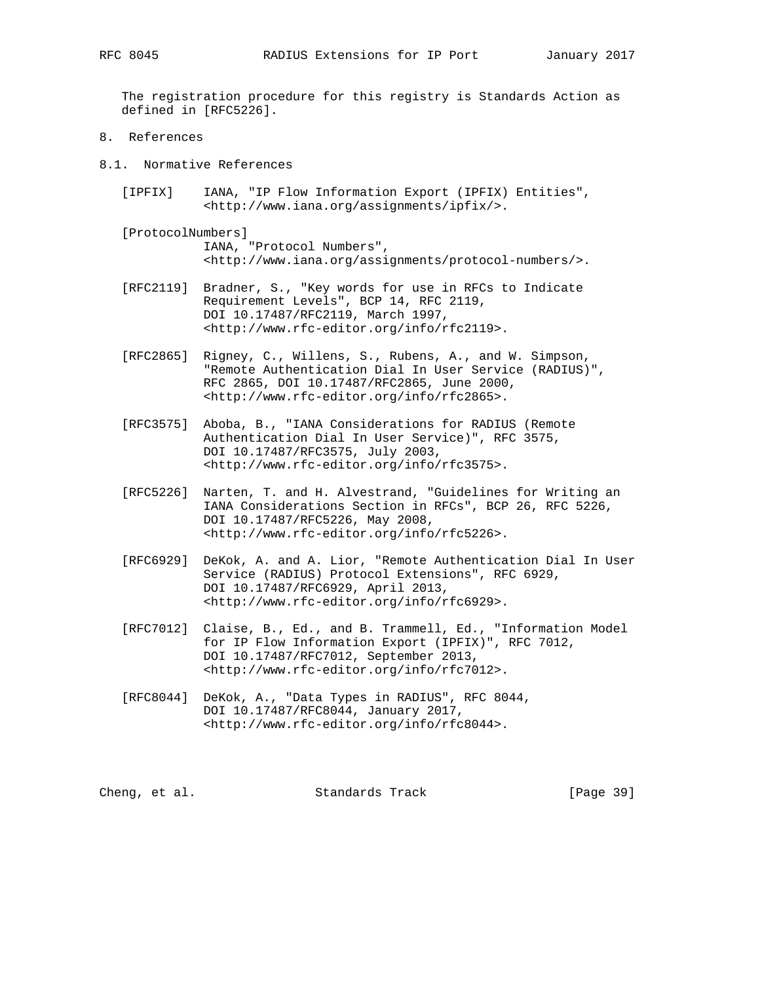The registration procedure for this registry is Standards Action as defined in [RFC5226].

- 8. References
- 8.1. Normative References
	- [IPFIX] IANA, "IP Flow Information Export (IPFIX) Entities", <http://www.iana.org/assignments/ipfix/>.
	- [ProtocolNumbers] IANA, "Protocol Numbers", <http://www.iana.org/assignments/protocol-numbers/>.
	- [RFC2119] Bradner, S., "Key words for use in RFCs to Indicate Requirement Levels", BCP 14, RFC 2119, DOI 10.17487/RFC2119, March 1997, <http://www.rfc-editor.org/info/rfc2119>.
	- [RFC2865] Rigney, C., Willens, S., Rubens, A., and W. Simpson, "Remote Authentication Dial In User Service (RADIUS)", RFC 2865, DOI 10.17487/RFC2865, June 2000, <http://www.rfc-editor.org/info/rfc2865>.
	- [RFC3575] Aboba, B., "IANA Considerations for RADIUS (Remote Authentication Dial In User Service)", RFC 3575, DOI 10.17487/RFC3575, July 2003, <http://www.rfc-editor.org/info/rfc3575>.
	- [RFC5226] Narten, T. and H. Alvestrand, "Guidelines for Writing an IANA Considerations Section in RFCs", BCP 26, RFC 5226, DOI 10.17487/RFC5226, May 2008, <http://www.rfc-editor.org/info/rfc5226>.
	- [RFC6929] DeKok, A. and A. Lior, "Remote Authentication Dial In User Service (RADIUS) Protocol Extensions", RFC 6929, DOI 10.17487/RFC6929, April 2013, <http://www.rfc-editor.org/info/rfc6929>.
	- [RFC7012] Claise, B., Ed., and B. Trammell, Ed., "Information Model for IP Flow Information Export (IPFIX)", RFC 7012, DOI 10.17487/RFC7012, September 2013, <http://www.rfc-editor.org/info/rfc7012>.
	- [RFC8044] DeKok, A., "Data Types in RADIUS", RFC 8044, DOI 10.17487/RFC8044, January 2017, <http://www.rfc-editor.org/info/rfc8044>.

| Cheng, et al. | Standards Track | [Page 39] |  |
|---------------|-----------------|-----------|--|
|---------------|-----------------|-----------|--|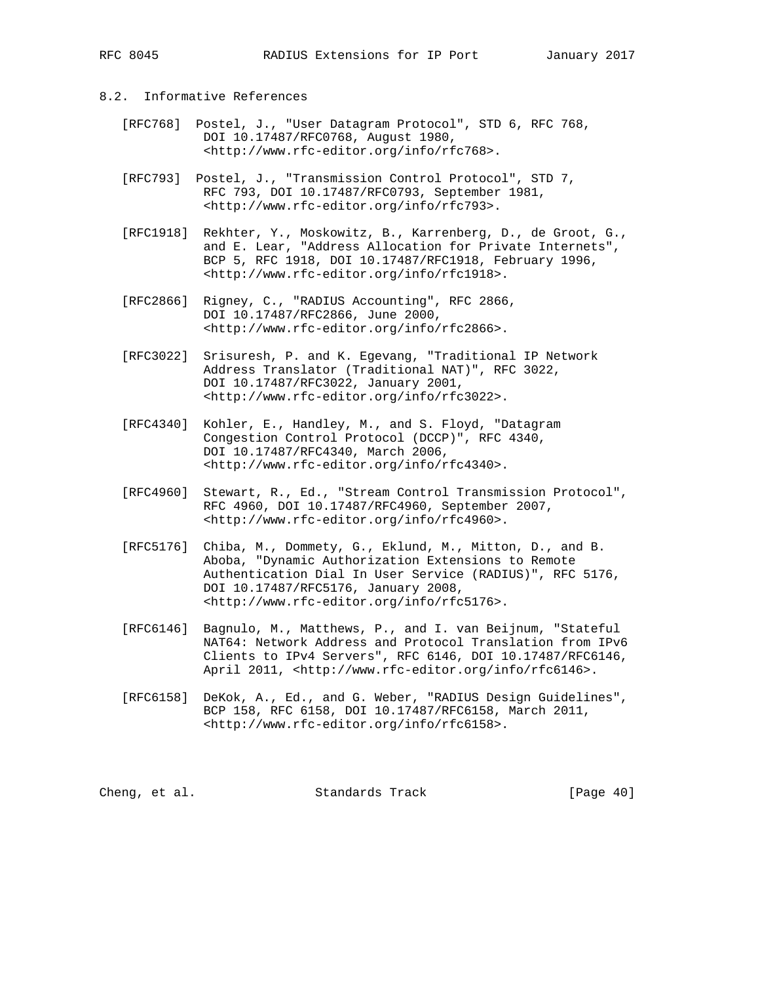- 8.2. Informative References
	- [RFC768] Postel, J., "User Datagram Protocol", STD 6, RFC 768, DOI 10.17487/RFC0768, August 1980, <http://www.rfc-editor.org/info/rfc768>.
	- [RFC793] Postel, J., "Transmission Control Protocol", STD 7, RFC 793, DOI 10.17487/RFC0793, September 1981, <http://www.rfc-editor.org/info/rfc793>.
	- [RFC1918] Rekhter, Y., Moskowitz, B., Karrenberg, D., de Groot, G., and E. Lear, "Address Allocation for Private Internets", BCP 5, RFC 1918, DOI 10.17487/RFC1918, February 1996, <http://www.rfc-editor.org/info/rfc1918>.
	- [RFC2866] Rigney, C., "RADIUS Accounting", RFC 2866, DOI 10.17487/RFC2866, June 2000, <http://www.rfc-editor.org/info/rfc2866>.
	- [RFC3022] Srisuresh, P. and K. Egevang, "Traditional IP Network Address Translator (Traditional NAT)", RFC 3022, DOI 10.17487/RFC3022, January 2001, <http://www.rfc-editor.org/info/rfc3022>.
	- [RFC4340] Kohler, E., Handley, M., and S. Floyd, "Datagram Congestion Control Protocol (DCCP)", RFC 4340, DOI 10.17487/RFC4340, March 2006, <http://www.rfc-editor.org/info/rfc4340>.
	- [RFC4960] Stewart, R., Ed., "Stream Control Transmission Protocol", RFC 4960, DOI 10.17487/RFC4960, September 2007, <http://www.rfc-editor.org/info/rfc4960>.
	- [RFC5176] Chiba, M., Dommety, G., Eklund, M., Mitton, D., and B. Aboba, "Dynamic Authorization Extensions to Remote Authentication Dial In User Service (RADIUS)", RFC 5176, DOI 10.17487/RFC5176, January 2008, <http://www.rfc-editor.org/info/rfc5176>.
	- [RFC6146] Bagnulo, M., Matthews, P., and I. van Beijnum, "Stateful NAT64: Network Address and Protocol Translation from IPv6 Clients to IPv4 Servers", RFC 6146, DOI 10.17487/RFC6146, April 2011, <http://www.rfc-editor.org/info/rfc6146>.
	- [RFC6158] DeKok, A., Ed., and G. Weber, "RADIUS Design Guidelines", BCP 158, RFC 6158, DOI 10.17487/RFC6158, March 2011, <http://www.rfc-editor.org/info/rfc6158>.

Cheng, et al. Standards Track [Page 40]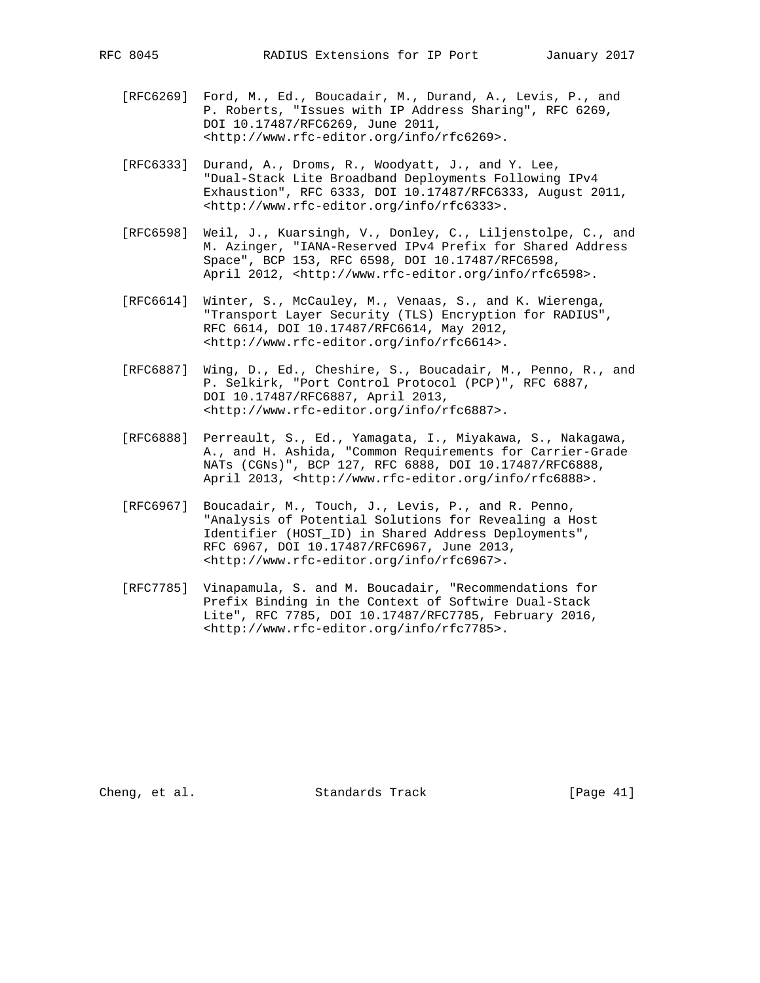- [RFC6269] Ford, M., Ed., Boucadair, M., Durand, A., Levis, P., and P. Roberts, "Issues with IP Address Sharing", RFC 6269, DOI 10.17487/RFC6269, June 2011, <http://www.rfc-editor.org/info/rfc6269>.
- [RFC6333] Durand, A., Droms, R., Woodyatt, J., and Y. Lee, "Dual-Stack Lite Broadband Deployments Following IPv4 Exhaustion", RFC 6333, DOI 10.17487/RFC6333, August 2011, <http://www.rfc-editor.org/info/rfc6333>.
- [RFC6598] Weil, J., Kuarsingh, V., Donley, C., Liljenstolpe, C., and M. Azinger, "IANA-Reserved IPv4 Prefix for Shared Address Space", BCP 153, RFC 6598, DOI 10.17487/RFC6598, April 2012, <http://www.rfc-editor.org/info/rfc6598>.
- [RFC6614] Winter, S., McCauley, M., Venaas, S., and K. Wierenga, "Transport Layer Security (TLS) Encryption for RADIUS", RFC 6614, DOI 10.17487/RFC6614, May 2012, <http://www.rfc-editor.org/info/rfc6614>.
- [RFC6887] Wing, D., Ed., Cheshire, S., Boucadair, M., Penno, R., and P. Selkirk, "Port Control Protocol (PCP)", RFC 6887, DOI 10.17487/RFC6887, April 2013, <http://www.rfc-editor.org/info/rfc6887>.
- [RFC6888] Perreault, S., Ed., Yamagata, I., Miyakawa, S., Nakagawa, A., and H. Ashida, "Common Requirements for Carrier-Grade NATs (CGNs)", BCP 127, RFC 6888, DOI 10.17487/RFC6888, April 2013, <http://www.rfc-editor.org/info/rfc6888>.
	- [RFC6967] Boucadair, M., Touch, J., Levis, P., and R. Penno, "Analysis of Potential Solutions for Revealing a Host Identifier (HOST\_ID) in Shared Address Deployments", RFC 6967, DOI 10.17487/RFC6967, June 2013, <http://www.rfc-editor.org/info/rfc6967>.
	- [RFC7785] Vinapamula, S. and M. Boucadair, "Recommendations for Prefix Binding in the Context of Softwire Dual-Stack Lite", RFC 7785, DOI 10.17487/RFC7785, February 2016, <http://www.rfc-editor.org/info/rfc7785>.

Cheng, et al. Standards Track [Page 41]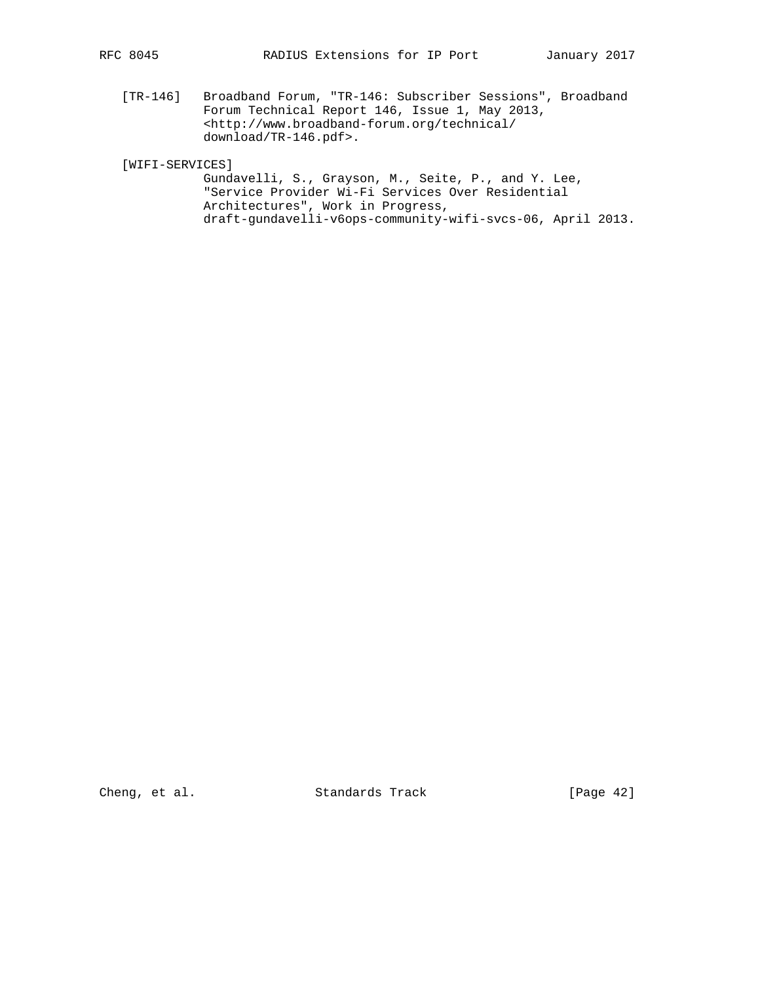[TR-146] Broadband Forum, "TR-146: Subscriber Sessions", Broadband Forum Technical Report 146, Issue 1, May 2013, <http://www.broadband-forum.org/technical/ download/TR-146.pdf>.

[WIFI-SERVICES]

 Gundavelli, S., Grayson, M., Seite, P., and Y. Lee, "Service Provider Wi-Fi Services Over Residential Architectures", Work in Progress, draft-gundavelli-v6ops-community-wifi-svcs-06, April 2013.

Cheng, et al. Standards Track [Page 42]